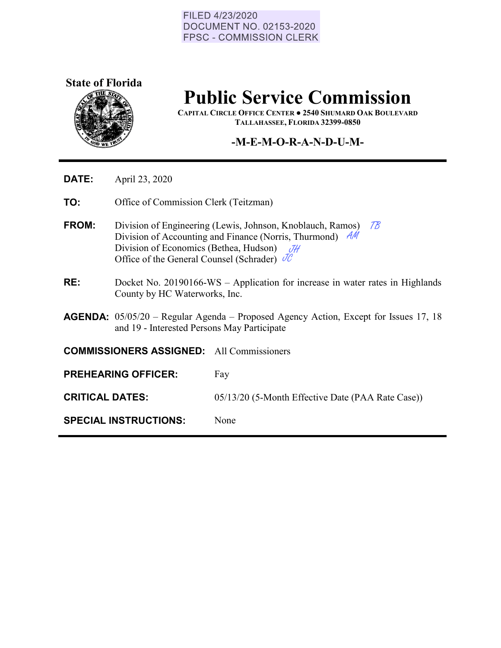#### FILED 4/23/2020 **DOCUMENT NO. 02153-2020 FPSC - COMMISSION CLERK**



## **Public Service Commission**

**CAPITAL CIRCLE OFFICE CENTER ● 2540 SHUMARD OAK BOULEVARD TALLAHASSEE, FLORIDA 32399-0850**

## **-M-E-M-O-R-A-N-D-U-M-**

- **DATE:** April 23, 2020
- **TO:** Office of Commission Clerk (Teitzman)
- **FROM:** Division of Engineering (Lewis, Johnson, Knoblauch, Ramos) Division of Engineering (Lewis, Johnson, Knoblauch, Ramos) 78<br>Division of Accounting and Finance (Norris, Thurmond) AM Division of Economics (Bethea, Hudson)  $\mathcal{J}\mathcal{H}$ <br>Office of the General Counsel (Schrader)  $\mathcal{J}\mathcal{C}$ Office of the General Counsel (Schrader)  $\partial C$
- **RE:** Docket No. 20190166-WS Application for increase in water rates in Highlands County by HC Waterworks, Inc.
- **AGENDA:** 05/05/20 Regular Agenda Proposed Agency Action, Except for Issues 17, 18 and 19 - Interested Persons May Participate

**COMMISSIONERS ASSIGNED:** All Commissioners

- **PREHEARING OFFICER:** Fay
- **CRITICAL DATES:** 05/13/20 (5-Month Effective Date (PAA Rate Case))

**SPECIAL INSTRUCTIONS:** None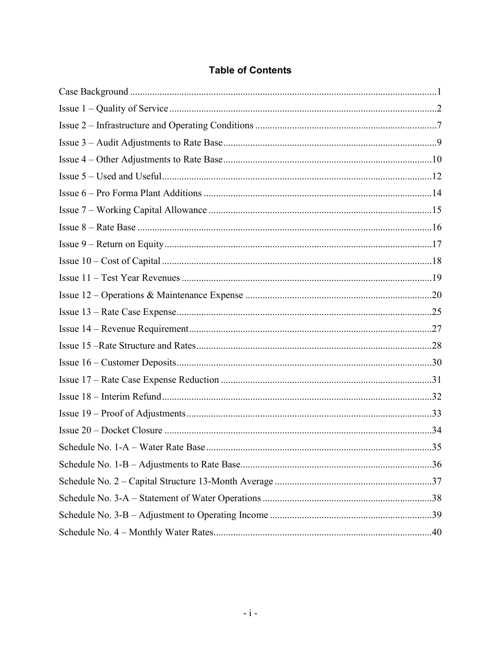| <b>Table of Contents</b> |  |  |  |  |
|--------------------------|--|--|--|--|
|--------------------------|--|--|--|--|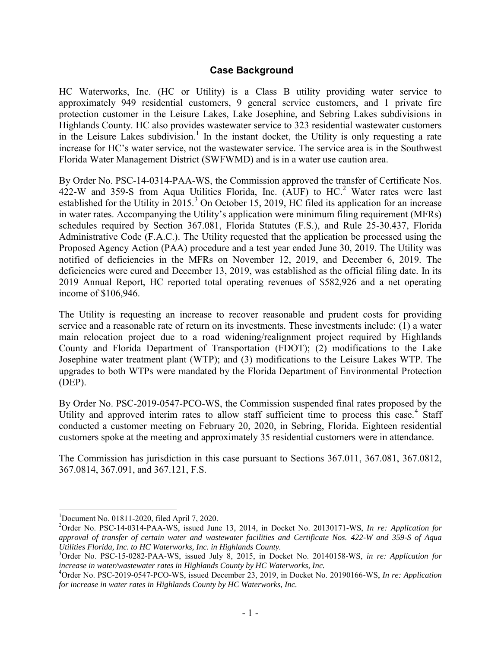## <span id="page-2-0"></span> **Case Background**

HC Waterworks, Inc. (HC or Utility) is a Class B utility providing water service to approximately 949 residential customers, 9 general service customers, and 1 private fire protection customer in the Leisure Lakes, Lake Josephine, and Sebring Lakes subdivisions in Highlands County. HC also provides wastewater service to 323 residential wastewater customers in the Leisure Lakes subdivision.<sup>1</sup> In the instant docket, the Utility is only requesting a rate increase for HC's water service, not the wastewater service. The service area is in the Southwest Florida Water Management District (SWFWMD) and is in a water use caution area.

By Order No. PSC-14-0314-PAA-WS, the Commission approved the transfer of Certificate Nos.  $422-W$  and 359-S from Aqua Utilities Florida, Inc.  $(AUF)$  to  $HC<sup>2</sup>$  Water rates were last established for the Utility in  $2015$ <sup>3</sup> On October 15, 2019, HC filed its application for an increase in water rates. Accompanying the Utility's application were minimum filing requirement (MFRs) schedules required by Section 367.081, Florida Statutes (F.S.), and Rule 25-30.437, Florida Administrative Code (F.A.C.). The Utility requested that the application be processed using the Proposed Agency Action (PAA) procedure and a test year ended June 30, 2019. The Utility was notified of deficiencies in the MFRs on November 12, 2019, and December 6, 2019. The deficiencies were cured and December 13, 2019, was established as the official filing date. In its 2019 Annual Report, HC reported total operating revenues of \$582,926 and a net operating income of \$106,946.

The Utility is requesting an increase to recover reasonable and prudent costs for providing service and a reasonable rate of return on its investments. These investments include: (1) a water main relocation project due to a road widening/realignment project required by Highlands County and Florida Department of Transportation (FDOT); (2) modifications to the Lake Josephine water treatment plant (WTP); and (3) modifications to the Leisure Lakes WTP. The upgrades to both WTPs were mandated by the Florida Department of Environmental Protection (DEP).

By Order No. PSC-2019-0547-PCO-WS, the Commission suspended final rates proposed by the Utility and approved interim rates to allow staff sufficient time to process this case.<sup>4</sup> Staff conducted a customer meeting on February 20, 2020, in Sebring, Florida. Eighteen residential customers spoke at the meeting and approximately 35 residential customers were in attendance.

The Commission has jurisdiction in this case pursuant to Sections 367.011, 367.081, 367.0812, 367.0814, 367.091, and 367.121, F.S.

 $\overline{a}$ 

<sup>1</sup>Document No. 01811-2020, filed April 7, 2020.

<sup>2</sup>Order No. PSC-14-0314-PAA-WS, issued June 13, 2014, in Docket No. 20130171-WS, *In re: Application for approval of transfer of certain water and wastewater facilities and Certificate Nos. 422-W and 359-S of Aqua Utilities Florida, Inc. to HC Waterworks, Inc. in Highlands County.*

<sup>3</sup>Order No. PSC-15-0282-PAA-WS, issued July 8, 2015, in Docket No. 20140158-WS, *in re: Application for increase in water/wastewater rates in Highlands County by HC Waterworks, Inc.* 

<sup>4</sup>Order No. PSC-2019-0547-PCO-WS, issued December 23, 2019, in Docket No. 20190166-WS, *In re: Application for increase in water rates in Highlands County by HC Waterworks, Inc.*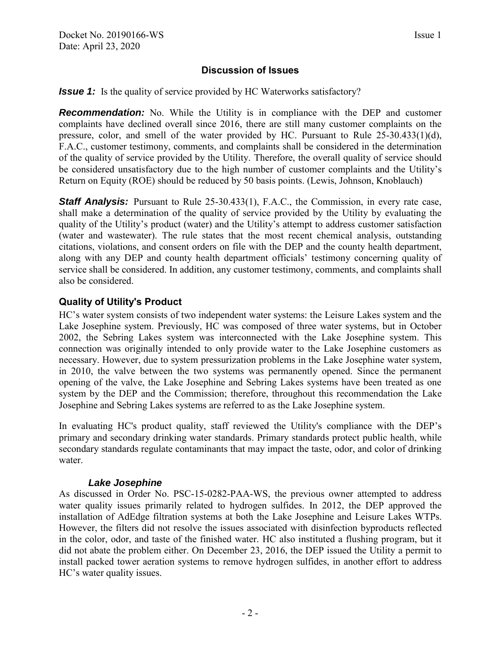## **Discussion of Issues**

<span id="page-3-0"></span>**Issue 1:** Is the quality of service provided by HC Waterworks satisfactory?

**Recommendation:** No. While the Utility is in compliance with the DEP and customer complaints have declined overall since 2016, there are still many customer complaints on the pressure, color, and smell of the water provided by HC. Pursuant to Rule 25-30.433(1)(d), F.A.C., customer testimony, comments, and complaints shall be considered in the determination of the quality of service provided by the Utility. Therefore, the overall quality of service should be considered unsatisfactory due to the high number of customer complaints and the Utility's Return on Equity (ROE) should be reduced by 50 basis points. (Lewis, Johnson, Knoblauch)

**Staff Analysis:** Pursuant to Rule 25-30.433(1), F.A.C., the Commission, in every rate case, shall make a determination of the quality of service provided by the Utility by evaluating the quality of the Utility's product (water) and the Utility's attempt to address customer satisfaction (water and wastewater). The rule states that the most recent chemical analysis, outstanding citations, violations, and consent orders on file with the DEP and the county health department, along with any DEP and county health department officials' testimony concerning quality of service shall be considered. In addition, any customer testimony, comments, and complaints shall also be considered.

## **Quality of Utility's Product**

HC's water system consists of two independent water systems: the Leisure Lakes system and the Lake Josephine system. Previously, HC was composed of three water systems, but in October 2002, the Sebring Lakes system was interconnected with the Lake Josephine system. This connection was originally intended to only provide water to the Lake Josephine customers as necessary. However, due to system pressurization problems in the Lake Josephine water system, in 2010, the valve between the two systems was permanently opened. Since the permanent opening of the valve, the Lake Josephine and Sebring Lakes systems have been treated as one system by the DEP and the Commission; therefore, throughout this recommendation the Lake Josephine and Sebring Lakes systems are referred to as the Lake Josephine system.

In evaluating HC's product quality, staff reviewed the Utility's compliance with the DEP's primary and secondary drinking water standards. Primary standards protect public health, while secondary standards regulate contaminants that may impact the taste, odor, and color of drinking water.

#### *Lake Josephine*

As discussed in Order No. PSC-15-0282-PAA-WS, the previous owner attempted to address water quality issues primarily related to hydrogen sulfides. In 2012, the DEP approved the installation of AdEdge filtration systems at both the Lake Josephine and Leisure Lakes WTPs. However, the filters did not resolve the issues associated with disinfection byproducts reflected in the color, odor, and taste of the finished water. HC also instituted a flushing program, but it did not abate the problem either. On December 23, 2016, the DEP issued the Utility a permit to install packed tower aeration systems to remove hydrogen sulfides, in another effort to address HC's water quality issues.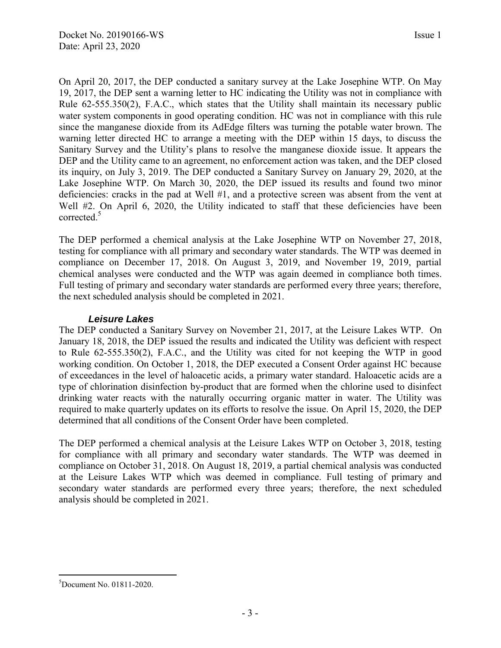On April 20, 2017, the DEP conducted a sanitary survey at the Lake Josephine WTP. On May 19, 2017, the DEP sent a warning letter to HC indicating the Utility was not in compliance with Rule 62-555.350(2), F.A.C., which states that the Utility shall maintain its necessary public water system components in good operating condition. HC was not in compliance with this rule since the manganese dioxide from its AdEdge filters was turning the potable water brown. The warning letter directed HC to arrange a meeting with the DEP within 15 days, to discuss the Sanitary Survey and the Utility's plans to resolve the manganese dioxide issue. It appears the DEP and the Utility came to an agreement, no enforcement action was taken, and the DEP closed its inquiry, on July 3, 2019. The DEP conducted a Sanitary Survey on January 29, 2020, at the Lake Josephine WTP. On March 30, 2020, the DEP issued its results and found two minor deficiencies: cracks in the pad at Well #1, and a protective screen was absent from the vent at Well #2. On April 6, 2020, the Utility indicated to staff that these deficiencies have been corrected.<sup>5</sup>

The DEP performed a chemical analysis at the Lake Josephine WTP on November 27, 2018, testing for compliance with all primary and secondary water standards. The WTP was deemed in compliance on December 17, 2018. On August 3, 2019, and November 19, 2019, partial chemical analyses were conducted and the WTP was again deemed in compliance both times. Full testing of primary and secondary water standards are performed every three years; therefore, the next scheduled analysis should be completed in 2021.

## *Leisure Lakes*

The DEP conducted a Sanitary Survey on November 21, 2017, at the Leisure Lakes WTP. On January 18, 2018, the DEP issued the results and indicated the Utility was deficient with respect to Rule 62-555.350(2), F.A.C., and the Utility was cited for not keeping the WTP in good working condition. On October 1, 2018, the DEP executed a Consent Order against HC because of exceedances in the level of haloacetic acids, a primary water standard. Haloacetic acids are a type of chlorination disinfection by-product that are formed when the chlorine used to disinfect drinking water reacts with the naturally occurring organic matter in water. The Utility was required to make quarterly updates on its efforts to resolve the issue. On April 15, 2020, the DEP determined that all conditions of the Consent Order have been completed.

The DEP performed a chemical analysis at the Leisure Lakes WTP on October 3, 2018, testing for compliance with all primary and secondary water standards. The WTP was deemed in compliance on October 31, 2018. On August 18, 2019, a partial chemical analysis was conducted at the Leisure Lakes WTP which was deemed in compliance. Full testing of primary and secondary water standards are performed every three years; therefore, the next scheduled analysis should be completed in 2021.

 $\overline{a}$  $5$ Document No. 01811-2020.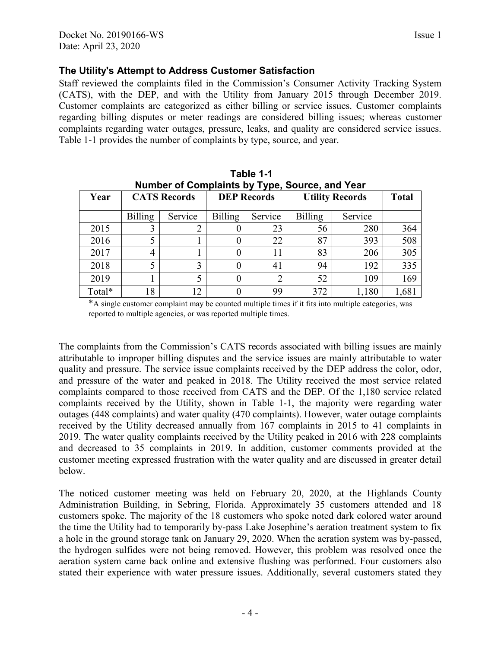## **The Utility's Attempt to Address Customer Satisfaction**

Staff reviewed the complaints filed in the Commission's Consumer Activity Tracking System (CATS), with the DEP, and with the Utility from January 2015 through December 2019. Customer complaints are categorized as either billing or service issues. Customer complaints regarding billing disputes or meter readings are considered billing issues; whereas customer complaints regarding water outages, pressure, leaks, and quality are considered service issues. Table 1-1 provides the number of complaints by type, source, and year.

| Number of Complaints by Type, Source, and Year |                |                     |                    |                 |                        |              |       |  |  |
|------------------------------------------------|----------------|---------------------|--------------------|-----------------|------------------------|--------------|-------|--|--|
| Year                                           |                | <b>CATS Records</b> | <b>DEP Records</b> |                 | <b>Utility Records</b> | <b>Total</b> |       |  |  |
|                                                | <b>Billing</b> | Service             | <b>Billing</b>     | Service         | <b>Billing</b>         | Service      |       |  |  |
| 2015                                           | 3              | 2                   |                    | 23              | 56                     | 280          | 364   |  |  |
| 2016                                           | 5              |                     |                    | 22              | 87                     | 393          | 508   |  |  |
| 2017                                           | 4              |                     |                    | 83<br>206       |                        | 305          |       |  |  |
| 2018                                           | 5              | 3                   |                    | 94<br>192<br>41 |                        | 335          |       |  |  |
| 2019                                           |                | 5                   |                    | 52<br>2<br>109  |                        | 169          |       |  |  |
| Total*                                         | 18             | 12                  |                    | 99              | 372                    | 1,180        | 1,681 |  |  |

**Table 1-1** 

\*A single customer complaint may be counted multiple times if it fits into multiple categories, was reported to multiple agencies, or was reported multiple times.

The complaints from the Commission's CATS records associated with billing issues are mainly attributable to improper billing disputes and the service issues are mainly attributable to water quality and pressure. The service issue complaints received by the DEP address the color, odor, and pressure of the water and peaked in 2018. The Utility received the most service related complaints compared to those received from CATS and the DEP. Of the 1,180 service related complaints received by the Utility, shown in Table 1-1, the majority were regarding water outages (448 complaints) and water quality (470 complaints). However, water outage complaints received by the Utility decreased annually from 167 complaints in 2015 to 41 complaints in 2019. The water quality complaints received by the Utility peaked in 2016 with 228 complaints and decreased to 35 complaints in 2019. In addition, customer comments provided at the customer meeting expressed frustration with the water quality and are discussed in greater detail below.

The noticed customer meeting was held on February 20, 2020, at the Highlands County Administration Building, in Sebring, Florida. Approximately 35 customers attended and 18 customers spoke. The majority of the 18 customers who spoke noted dark colored water around the time the Utility had to temporarily by-pass Lake Josephine's aeration treatment system to fix a hole in the ground storage tank on January 29, 2020. When the aeration system was by-passed, the hydrogen sulfides were not being removed. However, this problem was resolved once the aeration system came back online and extensive flushing was performed. Four customers also stated their experience with water pressure issues. Additionally, several customers stated they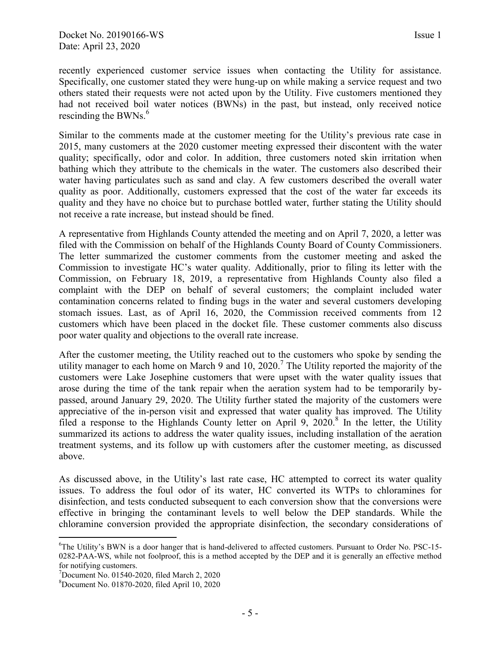recently experienced customer service issues when contacting the Utility for assistance. Specifically, one customer stated they were hung-up on while making a service request and two others stated their requests were not acted upon by the Utility. Five customers mentioned they had not received boil water notices (BWNs) in the past, but instead, only received notice rescinding the BWNs.<sup>6</sup>

Similar to the comments made at the customer meeting for the Utility's previous rate case in 2015, many customers at the 2020 customer meeting expressed their discontent with the water quality; specifically, odor and color. In addition, three customers noted skin irritation when bathing which they attribute to the chemicals in the water. The customers also described their water having particulates such as sand and clay. A few customers described the overall water quality as poor. Additionally, customers expressed that the cost of the water far exceeds its quality and they have no choice but to purchase bottled water, further stating the Utility should not receive a rate increase, but instead should be fined.

A representative from Highlands County attended the meeting and on April 7, 2020, a letter was filed with the Commission on behalf of the Highlands County Board of County Commissioners. The letter summarized the customer comments from the customer meeting and asked the Commission to investigate HC's water quality. Additionally, prior to filing its letter with the Commission, on February 18, 2019, a representative from Highlands County also filed a complaint with the DEP on behalf of several customers; the complaint included water contamination concerns related to finding bugs in the water and several customers developing stomach issues. Last, as of April 16, 2020, the Commission received comments from 12 customers which have been placed in the docket file. These customer comments also discuss poor water quality and objections to the overall rate increase.

After the customer meeting, the Utility reached out to the customers who spoke by sending the utility manager to each home on March 9 and 10, 2020.<sup>7</sup> The Utility reported the majority of the customers were Lake Josephine customers that were upset with the water quality issues that arose during the time of the tank repair when the aeration system had to be temporarily bypassed, around January 29, 2020. The Utility further stated the majority of the customers were appreciative of the in-person visit and expressed that water quality has improved. The Utility filed a response to the Highlands County letter on April 9, 2020.<sup>8</sup> In the letter, the Utility summarized its actions to address the water quality issues, including installation of the aeration treatment systems, and its follow up with customers after the customer meeting, as discussed above.

As discussed above, in the Utility's last rate case, HC attempted to correct its water quality issues. To address the foul odor of its water, HC converted its WTPs to chloramines for disinfection, and tests conducted subsequent to each conversion show that the conversions were effective in bringing the contaminant levels to well below the DEP standards. While the chloramine conversion provided the appropriate disinfection, the secondary considerations of

 $\overline{a}$ <sup>6</sup>The Utility's BWN is a door hanger that is hand-delivered to affected customers. Pursuant to Order No. PSC-15- 0282-PAA-WS, while not foolproof, this is a method accepted by the DEP and it is generally an effective method for notifying customers.

 $7$ Document No. 01540-2020, filed March 2, 2020

<sup>8</sup>Document No. 01870-2020, filed April 10, 2020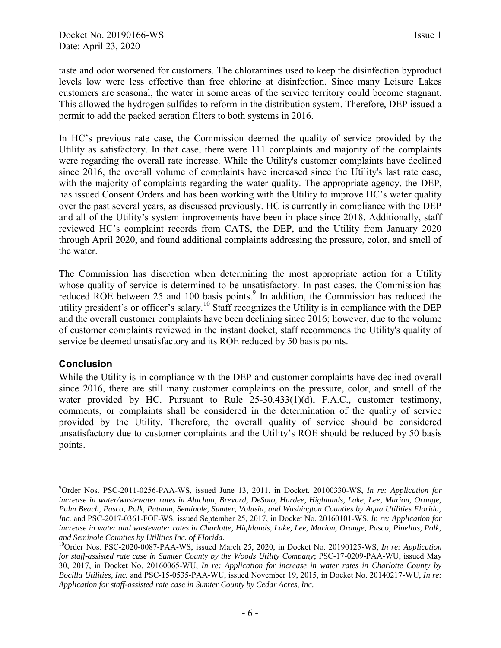taste and odor worsened for customers. The chloramines used to keep the disinfection byproduct levels low were less effective than free chlorine at disinfection. Since many Leisure Lakes customers are seasonal, the water in some areas of the service territory could become stagnant. This allowed the hydrogen sulfides to reform in the distribution system. Therefore, DEP issued a permit to add the packed aeration filters to both systems in 2016.

In HC's previous rate case, the Commission deemed the quality of service provided by the Utility as satisfactory. In that case, there were 111 complaints and majority of the complaints were regarding the overall rate increase. While the Utility's customer complaints have declined since 2016, the overall volume of complaints have increased since the Utility's last rate case, with the majority of complaints regarding the water quality. The appropriate agency, the DEP, has issued Consent Orders and has been working with the Utility to improve HC's water quality over the past several years, as discussed previously. HC is currently in compliance with the DEP and all of the Utility's system improvements have been in place since 2018. Additionally, staff reviewed HC's complaint records from CATS, the DEP, and the Utility from January 2020 through April 2020, and found additional complaints addressing the pressure, color, and smell of the water.

The Commission has discretion when determining the most appropriate action for a Utility whose quality of service is determined to be unsatisfactory. In past cases, the Commission has reduced ROE between 25 and 100 basis points.<sup>9</sup> In addition, the Commission has reduced the utility president's or officer's salary.<sup>10</sup> Staff recognizes the Utility is in compliance with the DEP and the overall customer complaints have been declining since 2016; however, due to the volume of customer complaints reviewed in the instant docket, staff recommends the Utility's quality of service be deemed unsatisfactory and its ROE reduced by 50 basis points.

## **Conclusion**

While the Utility is in compliance with the DEP and customer complaints have declined overall since 2016, there are still many customer complaints on the pressure, color, and smell of the water provided by HC. Pursuant to Rule 25-30.433(1)(d), F.A.C., customer testimony, comments, or complaints shall be considered in the determination of the quality of service provided by the Utility. Therefore, the overall quality of service should be considered unsatisfactory due to customer complaints and the Utility's ROE should be reduced by 50 basis points.

 $\overline{a}$ <sup>9</sup>Order Nos. PSC-2011-0256-PAA-WS, issued June 13, 2011, in Docket. 20100330-WS, *In re: Application for increase in water/wastewater rates in Alachua, Brevard, DeSoto, Hardee, Highlands, Lake, Lee, Marion, Orange, Palm Beach, Pasco, Polk, Putnam, Seminole, Sumter, Volusia, and Washington Counties by Aqua Utilities Florida, Inc.* and PSC-2017-0361-FOF-WS, issued September 25, 2017, in Docket No. 20160101-WS, *In re: Application for increase in water and wastewater rates in Charlotte, Highlands, Lake, Lee, Marion, Orange, Pasco, Pinellas, Polk, and Seminole Counties by Utilities Inc. of Florida.*

<sup>&</sup>lt;sup>10</sup>Order Nos. PSC-2020-0087-PAA-WS, issued March 25, 2020, in Docket No. 20190125-WS, *In re: Application for staff-assisted rate case in Sumter County by the Woods Utility Company*; PSC-17-0209-PAA-WU, issued May 30, 2017, in Docket No. 20160065-WU, *In re: Application for increase in water rates in Charlotte County by Bocilla Utilities, Inc.* and PSC-15-0535-PAA-WU, issued November 19, 2015, in Docket No. 20140217-WU, *In re: Application for staff-assisted rate case in Sumter County by Cedar Acres, Inc.*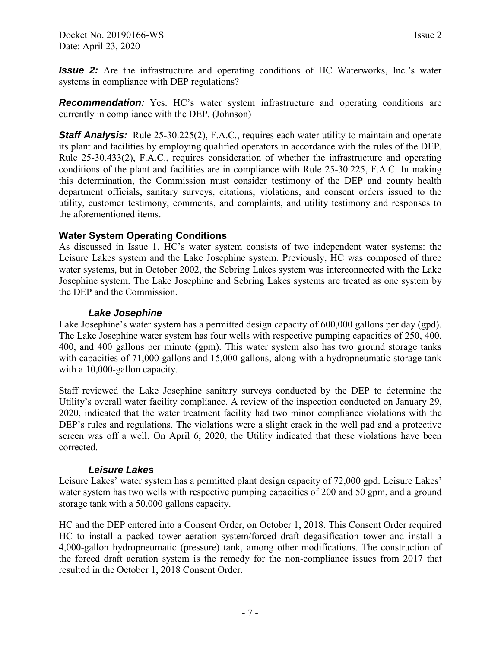<span id="page-8-0"></span>*Issue 2:* Are the infrastructure and operating conditions of HC Waterworks, Inc.'s water systems in compliance with DEP regulations?

**Recommendation:** Yes. HC's water system infrastructure and operating conditions are currently in compliance with the DEP. (Johnson)

**Staff Analysis:** Rule 25-30.225(2), F.A.C., requires each water utility to maintain and operate its plant and facilities by employing qualified operators in accordance with the rules of the DEP. Rule 25-30.433(2), F.A.C., requires consideration of whether the infrastructure and operating conditions of the plant and facilities are in compliance with Rule 25-30.225, F.A.C. In making this determination, the Commission must consider testimony of the DEP and county health department officials, sanitary surveys, citations, violations, and consent orders issued to the utility, customer testimony, comments, and complaints, and utility testimony and responses to the aforementioned items.

## **Water System Operating Conditions**

As discussed in Issue 1, HC's water system consists of two independent water systems: the Leisure Lakes system and the Lake Josephine system. Previously, HC was composed of three water systems, but in October 2002, the Sebring Lakes system was interconnected with the Lake Josephine system. The Lake Josephine and Sebring Lakes systems are treated as one system by the DEP and the Commission.

#### *Lake Josephine*

Lake Josephine's water system has a permitted design capacity of 600,000 gallons per day (gpd). The Lake Josephine water system has four wells with respective pumping capacities of 250, 400, 400, and 400 gallons per minute (gpm). This water system also has two ground storage tanks with capacities of 71,000 gallons and 15,000 gallons, along with a hydropneumatic storage tank with a 10,000-gallon capacity.

Staff reviewed the Lake Josephine sanitary surveys conducted by the DEP to determine the Utility's overall water facility compliance. A review of the inspection conducted on January 29, 2020, indicated that the water treatment facility had two minor compliance violations with the DEP's rules and regulations. The violations were a slight crack in the well pad and a protective screen was off a well. On April 6, 2020, the Utility indicated that these violations have been corrected.

#### *Leisure Lakes*

Leisure Lakes' water system has a permitted plant design capacity of 72,000 gpd. Leisure Lakes' water system has two wells with respective pumping capacities of 200 and 50 gpm, and a ground storage tank with a 50,000 gallons capacity.

HC and the DEP entered into a Consent Order, on October 1, 2018. This Consent Order required HC to install a packed tower aeration system/forced draft degasification tower and install a 4,000-gallon hydropneumatic (pressure) tank, among other modifications. The construction of the forced draft aeration system is the remedy for the non-compliance issues from 2017 that resulted in the October 1, 2018 Consent Order.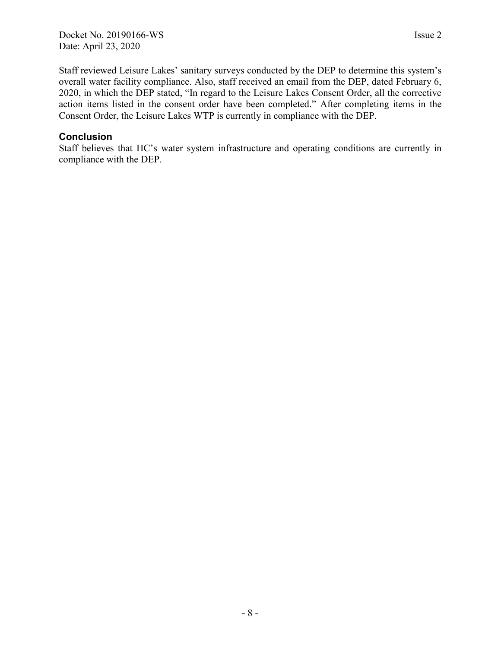Staff reviewed Leisure Lakes' sanitary surveys conducted by the DEP to determine this system's overall water facility compliance. Also, staff received an email from the DEP, dated February 6, 2020, in which the DEP stated, "In regard to the Leisure Lakes Consent Order, all the corrective action items listed in the consent order have been completed." After completing items in the Consent Order, the Leisure Lakes WTP is currently in compliance with the DEP.

#### **Conclusion**

Staff believes that HC's water system infrastructure and operating conditions are currently in compliance with the DEP.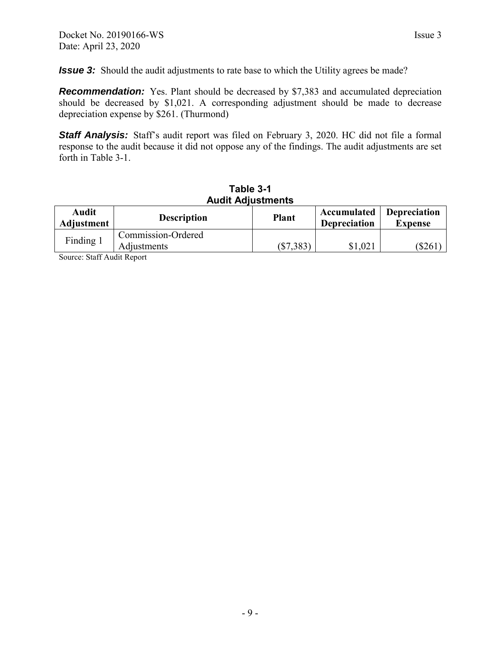<span id="page-10-0"></span>*Issue 3:* Should the audit adjustments to rate base to which the Utility agrees be made?

**Recommendation:** Yes. Plant should be decreased by \$7,383 and accumulated depreciation should be decreased by \$1,021. A corresponding adjustment should be made to decrease depreciation expense by \$261. (Thurmond)

**Staff Analysis:** Staff's audit report was filed on February 3, 2020. HC did not file a formal response to the audit because it did not oppose any of the findings. The audit adjustments are set forth in Table 3-1.

| <b>Audit Adjustments</b>   |                                   |              |                                    |                                       |  |  |  |  |
|----------------------------|-----------------------------------|--------------|------------------------------------|---------------------------------------|--|--|--|--|
| <b>Audit</b><br>Adjustment | <b>Description</b>                | <b>Plant</b> | Accumulated<br><b>Depreciation</b> | <b>Depreciation</b><br><b>Expense</b> |  |  |  |  |
| Finding 1                  | Commission-Ordered<br>Adjustments | $(\$7,383)$  | \$1,021                            | (\$261                                |  |  |  |  |

# **Table 3-1**

Source: Staff Audit Report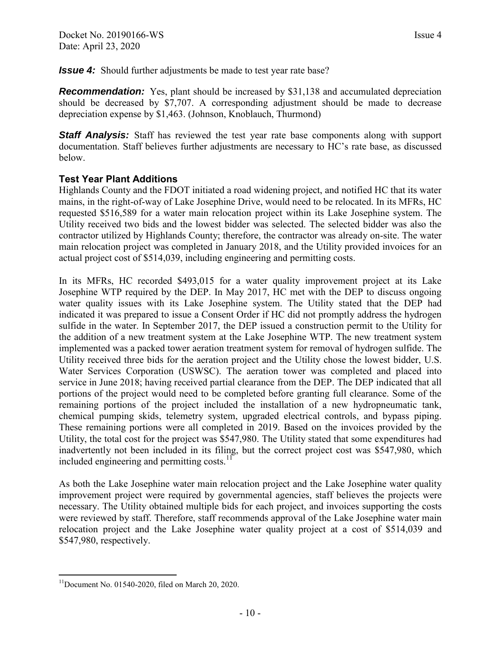<span id="page-11-0"></span>*Issue 4:* Should further adjustments be made to test year rate base?

*Recommendation:* Yes, plant should be increased by \$31,138 and accumulated depreciation should be decreased by \$7,707. A corresponding adjustment should be made to decrease depreciation expense by \$1,463. (Johnson, Knoblauch, Thurmond)

**Staff Analysis:** Staff has reviewed the test year rate base components along with support documentation. Staff believes further adjustments are necessary to HC's rate base, as discussed below.

#### **Test Year Plant Additions**

Highlands County and the FDOT initiated a road widening project, and notified HC that its water mains, in the right-of-way of Lake Josephine Drive, would need to be relocated. In its MFRs, HC requested \$516,589 for a water main relocation project within its Lake Josephine system. The Utility received two bids and the lowest bidder was selected. The selected bidder was also the contractor utilized by Highlands County; therefore, the contractor was already on-site. The water main relocation project was completed in January 2018, and the Utility provided invoices for an actual project cost of \$514,039, including engineering and permitting costs.

In its MFRs, HC recorded \$493,015 for a water quality improvement project at its Lake Josephine WTP required by the DEP. In May 2017, HC met with the DEP to discuss ongoing water quality issues with its Lake Josephine system. The Utility stated that the DEP had indicated it was prepared to issue a Consent Order if HC did not promptly address the hydrogen sulfide in the water. In September 2017, the DEP issued a construction permit to the Utility for the addition of a new treatment system at the Lake Josephine WTP. The new treatment system implemented was a packed tower aeration treatment system for removal of hydrogen sulfide. The Utility received three bids for the aeration project and the Utility chose the lowest bidder, U.S. Water Services Corporation (USWSC). The aeration tower was completed and placed into service in June 2018; having received partial clearance from the DEP. The DEP indicated that all portions of the project would need to be completed before granting full clearance. Some of the remaining portions of the project included the installation of a new hydropneumatic tank, chemical pumping skids, telemetry system, upgraded electrical controls, and bypass piping. These remaining portions were all completed in 2019. Based on the invoices provided by the Utility, the total cost for the project was \$547,980. The Utility stated that some expenditures had inadvertently not been included in its filing, but the correct project cost was \$547,980, which included engineering and permitting costs.<sup>11</sup>

As both the Lake Josephine water main relocation project and the Lake Josephine water quality improvement project were required by governmental agencies, staff believes the projects were necessary. The Utility obtained multiple bids for each project, and invoices supporting the costs were reviewed by staff. Therefore, staff recommends approval of the Lake Josephine water main relocation project and the Lake Josephine water quality project at a cost of \$514,039 and \$547,980, respectively.

 $\overline{a}$  $11$ Document No. 01540-2020, filed on March 20, 2020.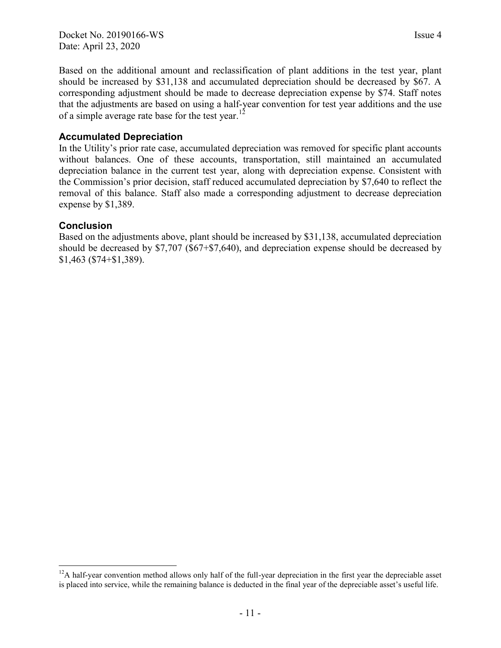Based on the additional amount and reclassification of plant additions in the test year, plant should be increased by \$31,138 and accumulated depreciation should be decreased by \$67. A corresponding adjustment should be made to decrease depreciation expense by \$74. Staff notes that the adjustments are based on using a half-year convention for test year additions and the use of a simple average rate base for the test year.<sup>12</sup>

#### **Accumulated Depreciation**

In the Utility's prior rate case, accumulated depreciation was removed for specific plant accounts without balances. One of these accounts, transportation, still maintained an accumulated depreciation balance in the current test year, along with depreciation expense. Consistent with the Commission's prior decision, staff reduced accumulated depreciation by \$7,640 to reflect the removal of this balance. Staff also made a corresponding adjustment to decrease depreciation expense by \$1,389.

#### **Conclusion**

 $\overline{a}$ 

Based on the adjustments above, plant should be increased by \$31,138, accumulated depreciation should be decreased by \$7,707 (\$67+\$7,640), and depreciation expense should be decreased by \$1,463 (\$74+\$1,389).

 $12A$  half-year convention method allows only half of the full-year depreciation in the first year the depreciable asset is placed into service, while the remaining balance is deducted in the final year of the depreciable asset's useful life.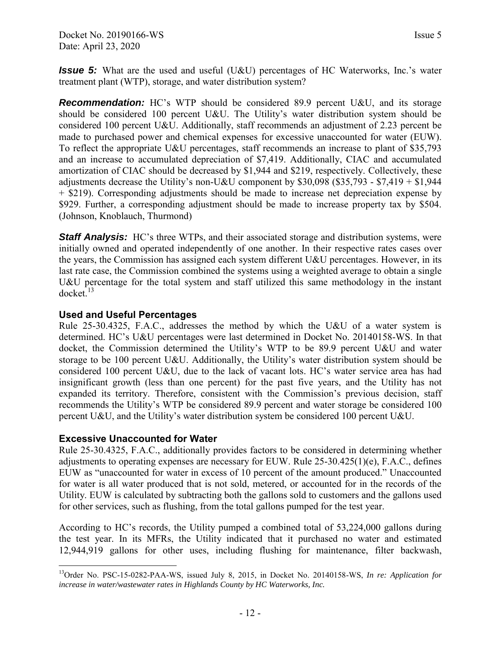<span id="page-13-0"></span>*Issue 5:* What are the used and useful (U&U) percentages of HC Waterworks, Inc.'s water treatment plant (WTP), storage, and water distribution system?

**Recommendation:** HC's WTP should be considered 89.9 percent U&U, and its storage should be considered 100 percent U&U. The Utility's water distribution system should be considered 100 percent U&U. Additionally, staff recommends an adjustment of 2.23 percent be made to purchased power and chemical expenses for excessive unaccounted for water (EUW). To reflect the appropriate U&U percentages, staff recommends an increase to plant of \$35,793 and an increase to accumulated depreciation of \$7,419. Additionally, CIAC and accumulated amortization of CIAC should be decreased by \$1,944 and \$219, respectively. Collectively, these adjustments decrease the Utility's non-U&U component by  $$30,098$  ( $$35,793$  -  $$7,419 + $1,944$ ) + \$219). Corresponding adjustments should be made to increase net depreciation expense by \$929. Further, a corresponding adjustment should be made to increase property tax by \$504. (Johnson, Knoblauch, Thurmond)

**Staff Analysis:** HC's three WTPs, and their associated storage and distribution systems, were initially owned and operated independently of one another. In their respective rates cases over the years, the Commission has assigned each system different U&U percentages. However, in its last rate case, the Commission combined the systems using a weighted average to obtain a single U&U percentage for the total system and staff utilized this same methodology in the instant docket.<sup>13</sup>

#### **Used and Useful Percentages**

Rule 25-30.4325, F.A.C., addresses the method by which the U&U of a water system is determined. HC's U&U percentages were last determined in Docket No. 20140158-WS. In that docket, the Commission determined the Utility's WTP to be 89.9 percent U&U and water storage to be 100 percent U&U. Additionally, the Utility's water distribution system should be considered 100 percent U&U, due to the lack of vacant lots. HC's water service area has had insignificant growth (less than one percent) for the past five years, and the Utility has not expanded its territory. Therefore, consistent with the Commission's previous decision, staff recommends the Utility's WTP be considered 89.9 percent and water storage be considered 100 percent U&U, and the Utility's water distribution system be considered 100 percent U&U.

#### **Excessive Unaccounted for Water**

Rule 25-30.4325, F.A.C., additionally provides factors to be considered in determining whether adjustments to operating expenses are necessary for EUW. Rule  $25-30.425(1)(e)$ , F.A.C., defines EUW as "unaccounted for water in excess of 10 percent of the amount produced." Unaccounted for water is all water produced that is not sold, metered, or accounted for in the records of the Utility. EUW is calculated by subtracting both the gallons sold to customers and the gallons used for other services, such as flushing, from the total gallons pumped for the test year.

According to HC's records, the Utility pumped a combined total of 53,224,000 gallons during the test year. In its MFRs, the Utility indicated that it purchased no water and estimated 12,944,919 gallons for other uses, including flushing for maintenance, filter backwash,

 $\overline{a}$ <sup>13</sup>Order No. PSC-15-0282-PAA-WS, issued July 8, 2015, in Docket No. 20140158-WS, *In re: Application for increase in water/wastewater rates in Highlands County by HC Waterworks, Inc.*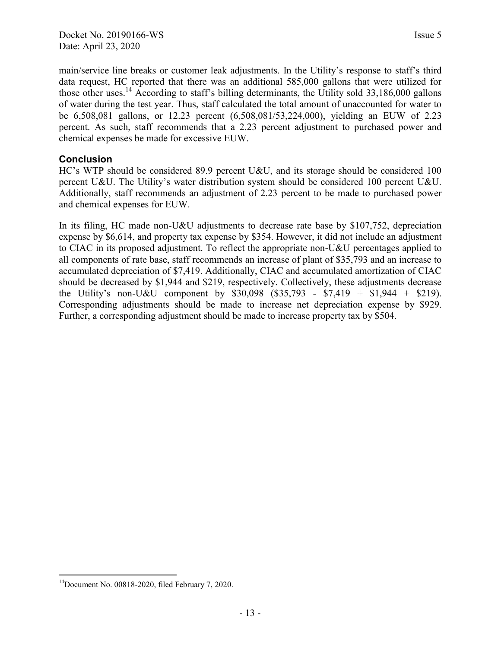main/service line breaks or customer leak adjustments. In the Utility's response to staff's third data request, HC reported that there was an additional 585,000 gallons that were utilized for those other uses.<sup>14</sup> According to staff's billing determinants, the Utility sold  $33,186,000$  gallons of water during the test year. Thus, staff calculated the total amount of unaccounted for water to be 6,508,081 gallons, or 12.23 percent (6,508,081/53,224,000), yielding an EUW of 2.23 percent. As such, staff recommends that a 2.23 percent adjustment to purchased power and chemical expenses be made for excessive EUW.

## **Conclusion**

HC's WTP should be considered 89.9 percent U&U, and its storage should be considered 100 percent U&U. The Utility's water distribution system should be considered 100 percent U&U. Additionally, staff recommends an adjustment of 2.23 percent to be made to purchased power and chemical expenses for EUW.

In its filing, HC made non-U&U adjustments to decrease rate base by \$107,752, depreciation expense by \$6,614, and property tax expense by \$354. However, it did not include an adjustment to CIAC in its proposed adjustment. To reflect the appropriate non-U&U percentages applied to all components of rate base, staff recommends an increase of plant of \$35,793 and an increase to accumulated depreciation of \$7,419. Additionally, CIAC and accumulated amortization of CIAC should be decreased by \$1,944 and \$219, respectively. Collectively, these adjustments decrease the Utility's non-U&U component by \$30,098 (\$35,793 - \$7,419 + \$1,944 + \$219). Corresponding adjustments should be made to increase net depreciation expense by \$929. Further, a corresponding adjustment should be made to increase property tax by \$504.

 $\overline{a}$  $14$ Document No. 00818-2020, filed February 7, 2020.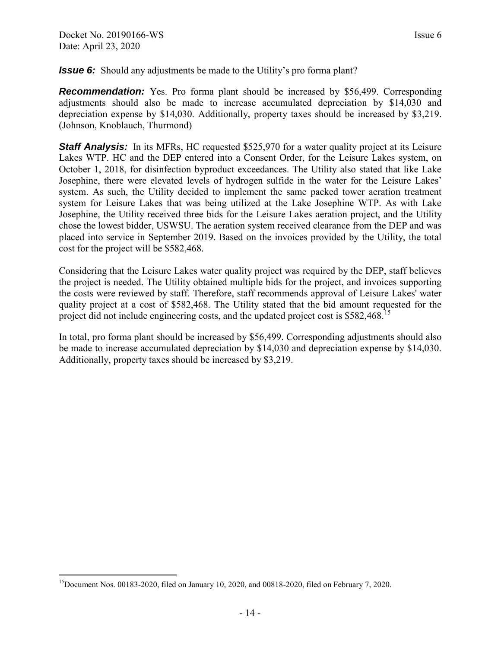<span id="page-15-0"></span>*Issue 6:* Should any adjustments be made to the Utility's pro forma plant?

**Recommendation:** Yes. Pro forma plant should be increased by \$56,499. Corresponding adjustments should also be made to increase accumulated depreciation by \$14,030 and depreciation expense by \$14,030. Additionally, property taxes should be increased by \$3,219. (Johnson, Knoblauch, Thurmond)

**Staff Analysis:** In its MFRs, HC requested \$525,970 for a water quality project at its Leisure Lakes WTP. HC and the DEP entered into a Consent Order, for the Leisure Lakes system, on October 1, 2018, for disinfection byproduct exceedances. The Utility also stated that like Lake Josephine, there were elevated levels of hydrogen sulfide in the water for the Leisure Lakes' system. As such, the Utility decided to implement the same packed tower aeration treatment system for Leisure Lakes that was being utilized at the Lake Josephine WTP. As with Lake Josephine, the Utility received three bids for the Leisure Lakes aeration project, and the Utility chose the lowest bidder, USWSU. The aeration system received clearance from the DEP and was placed into service in September 2019. Based on the invoices provided by the Utility, the total cost for the project will be \$582,468.

Considering that the Leisure Lakes water quality project was required by the DEP, staff believes the project is needed. The Utility obtained multiple bids for the project, and invoices supporting the costs were reviewed by staff. Therefore, staff recommends approval of Leisure Lakes' water quality project at a cost of \$582,468. The Utility stated that the bid amount requested for the project did not include engineering costs, and the updated project cost is \$582,468<sup>.15</sup>

In total, pro forma plant should be increased by \$56,499. Corresponding adjustments should also be made to increase accumulated depreciation by \$14,030 and depreciation expense by \$14,030. Additionally, property taxes should be increased by \$3,219.

 $\overline{a}$ <sup>15</sup>Document Nos. 00183-2020, filed on January 10, 2020, and 00818-2020, filed on February 7, 2020.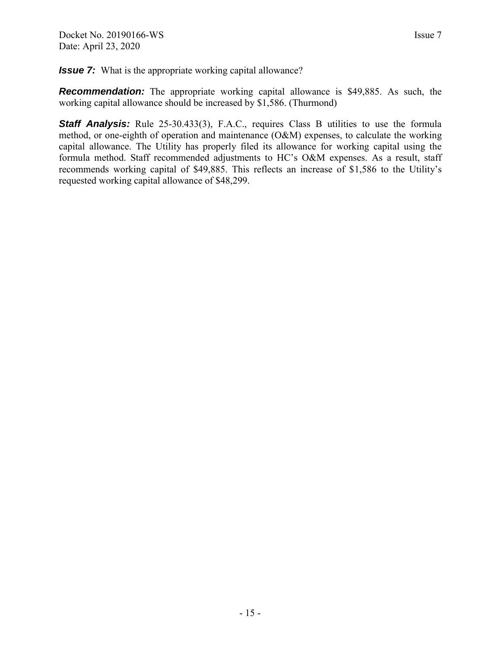<span id="page-16-0"></span>*Issue 7:* What is the appropriate working capital allowance?

**Recommendation:** The appropriate working capital allowance is \$49,885. As such, the working capital allowance should be increased by \$1,586. (Thurmond)

**Staff Analysis:** Rule 25-30.433(3), F.A.C., requires Class B utilities to use the formula method, or one-eighth of operation and maintenance (O&M) expenses, to calculate the working capital allowance. The Utility has properly filed its allowance for working capital using the formula method. Staff recommended adjustments to HC's O&M expenses. As a result, staff recommends working capital of \$49,885. This reflects an increase of \$1,586 to the Utility's requested working capital allowance of \$48,299.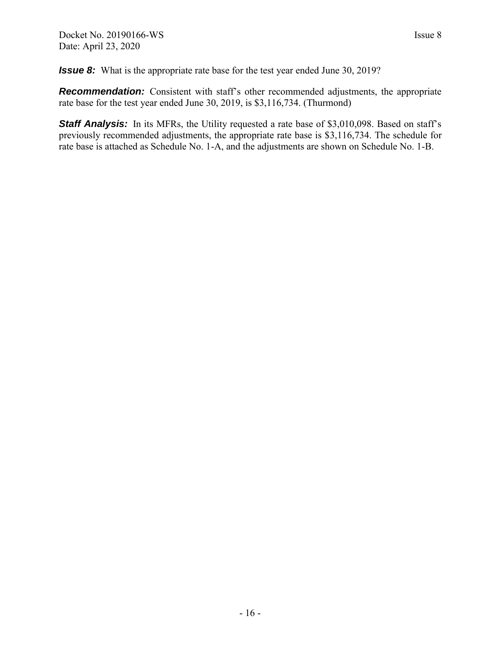<span id="page-17-0"></span>**Issue 8:** What is the appropriate rate base for the test year ended June 30, 2019?

**Recommendation:** Consistent with staff's other recommended adjustments, the appropriate rate base for the test year ended June 30, 2019, is \$3,116,734. (Thurmond)

**Staff Analysis:** In its MFRs, the Utility requested a rate base of \$3,010,098. Based on staff's previously recommended adjustments, the appropriate rate base is \$3,116,734. The schedule for rate base is attached as Schedule No. 1-A, and the adjustments are shown on Schedule No. 1-B.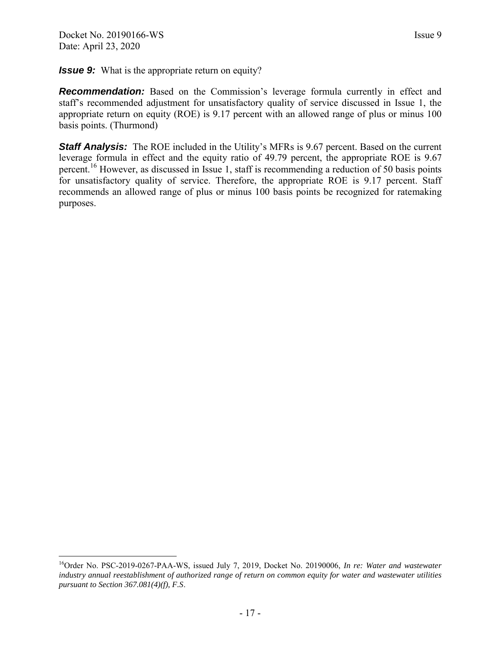<span id="page-18-0"></span>*Issue 9:* What is the appropriate return on equity?

**Recommendation:** Based on the Commission's leverage formula currently in effect and staff's recommended adjustment for unsatisfactory quality of service discussed in Issue 1, the appropriate return on equity (ROE) is 9.17 percent with an allowed range of plus or minus 100 basis points. (Thurmond)

**Staff Analysis:** The ROE included in the Utility's MFRs is 9.67 percent. Based on the current leverage formula in effect and the equity ratio of 49.79 percent, the appropriate ROE is 9.67 percent.<sup>16</sup> However, as discussed in Issue 1, staff is recommending a reduction of 50 basis points for unsatisfactory quality of service. Therefore, the appropriate ROE is 9.17 percent. Staff recommends an allowed range of plus or minus 100 basis points be recognized for ratemaking purposes.

<sup>16</sup>Order No. PSC-2019-0267-PAA-WS, issued July 7, 2019, Docket No. 20190006, *In re: Water and wastewater industry annual reestablishment of authorized range of return on common equity for water and wastewater utilities pursuant to Section 367.081(4)(f), F.S*.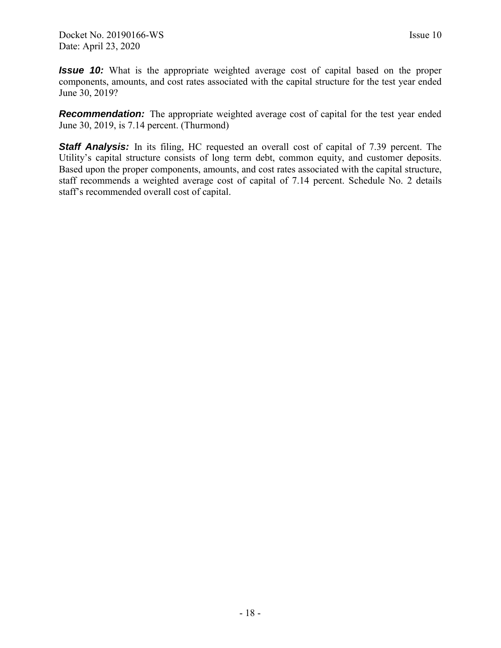<span id="page-19-0"></span>*Issue 10:* What is the appropriate weighted average cost of capital based on the proper components, amounts, and cost rates associated with the capital structure for the test year ended June 30, 2019?

**Recommendation:** The appropriate weighted average cost of capital for the test year ended June 30, 2019, is 7.14 percent. (Thurmond)

**Staff Analysis:** In its filing, HC requested an overall cost of capital of 7.39 percent. The Utility's capital structure consists of long term debt, common equity, and customer deposits. Based upon the proper components, amounts, and cost rates associated with the capital structure, staff recommends a weighted average cost of capital of 7.14 percent. Schedule No. 2 details staff's recommended overall cost of capital.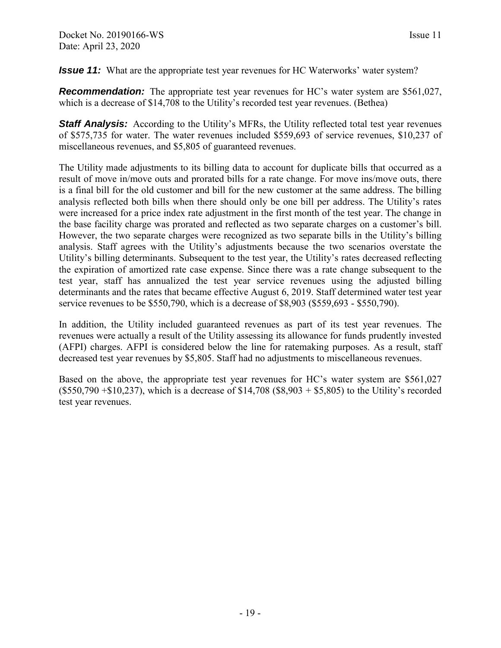<span id="page-20-0"></span>*Issue 11:* What are the appropriate test year revenues for HC Waterworks' water system?

*Recommendation:* The appropriate test year revenues for HC's water system are \$561,027, which is a decrease of \$14,708 to the Utility's recorded test year revenues. (Bethea)

**Staff Analysis:** According to the Utility's MFRs, the Utility reflected total test year revenues of \$575,735 for water. The water revenues included \$559,693 of service revenues, \$10,237 of miscellaneous revenues, and \$5,805 of guaranteed revenues.

The Utility made adjustments to its billing data to account for duplicate bills that occurred as a result of move in/move outs and prorated bills for a rate change. For move ins/move outs, there is a final bill for the old customer and bill for the new customer at the same address. The billing analysis reflected both bills when there should only be one bill per address. The Utility's rates were increased for a price index rate adjustment in the first month of the test year. The change in the base facility charge was prorated and reflected as two separate charges on a customer's bill. However, the two separate charges were recognized as two separate bills in the Utility's billing analysis. Staff agrees with the Utility's adjustments because the two scenarios overstate the Utility's billing determinants. Subsequent to the test year, the Utility's rates decreased reflecting the expiration of amortized rate case expense. Since there was a rate change subsequent to the test year, staff has annualized the test year service revenues using the adjusted billing determinants and the rates that became effective August 6, 2019. Staff determined water test year service revenues to be \$550,790, which is a decrease of \$8,903 (\$559,693 - \$550,790).

In addition, the Utility included guaranteed revenues as part of its test year revenues. The revenues were actually a result of the Utility assessing its allowance for funds prudently invested (AFPI) charges. AFPI is considered below the line for ratemaking purposes. As a result, staff decreased test year revenues by \$5,805. Staff had no adjustments to miscellaneous revenues.

Based on the above, the appropriate test year revenues for HC's water system are \$561,027  $($550,790 + $10,237)$ , which is a decrease of \$14,708  $($8,903 + $5,805)$  to the Utility's recorded test year revenues.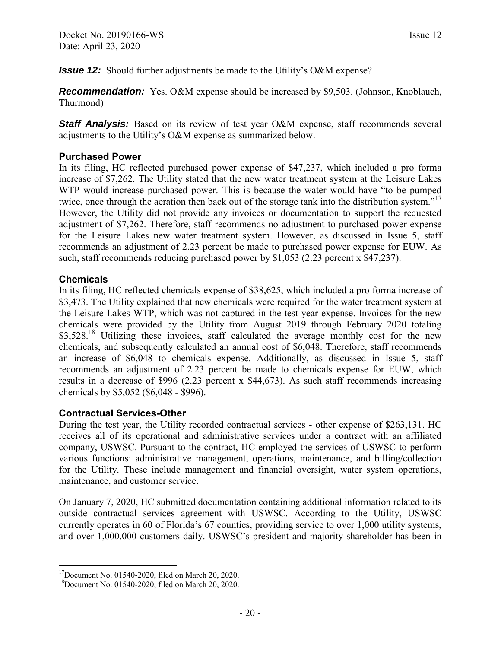<span id="page-21-0"></span>*Issue 12:* Should further adjustments be made to the Utility's O&M expense?

*Recommendation:* Yes. O&M expense should be increased by \$9,503. (Johnson, Knoblauch, Thurmond)

**Staff Analysis:** Based on its review of test year O&M expense, staff recommends several adjustments to the Utility's O&M expense as summarized below.

#### **Purchased Power**

In its filing, HC reflected purchased power expense of \$47,237, which included a pro forma increase of \$7,262. The Utility stated that the new water treatment system at the Leisure Lakes WTP would increase purchased power. This is because the water would have "to be pumped twice, once through the aeration then back out of the storage tank into the distribution system."<sup>17</sup> However, the Utility did not provide any invoices or documentation to support the requested adjustment of \$7,262. Therefore, staff recommends no adjustment to purchased power expense for the Leisure Lakes new water treatment system. However, as discussed in Issue 5, staff recommends an adjustment of 2.23 percent be made to purchased power expense for EUW. As such, staff recommends reducing purchased power by \$1,053 (2.23 percent x \$47,237).

#### **Chemicals**

 $\overline{a}$ 

In its filing, HC reflected chemicals expense of \$38,625, which included a pro forma increase of \$3,473. The Utility explained that new chemicals were required for the water treatment system at the Leisure Lakes WTP, which was not captured in the test year expense. Invoices for the new chemicals were provided by the Utility from August 2019 through February 2020 totaling \$3,528.<sup>18</sup> Utilizing these invoices, staff calculated the average monthly cost for the new chemicals, and subsequently calculated an annual cost of \$6,048. Therefore, staff recommends an increase of \$6,048 to chemicals expense. Additionally, as discussed in Issue 5, staff recommends an adjustment of 2.23 percent be made to chemicals expense for EUW, which results in a decrease of \$996 (2.23 percent x \$44,673). As such staff recommends increasing chemicals by \$5,052 (\$6,048 - \$996).

#### **Contractual Services-Other**

During the test year, the Utility recorded contractual services - other expense of \$263,131. HC receives all of its operational and administrative services under a contract with an affiliated company, USWSC. Pursuant to the contract, HC employed the services of USWSC to perform various functions: administrative management, operations, maintenance, and billing/collection for the Utility. These include management and financial oversight, water system operations, maintenance, and customer service.

On January 7, 2020, HC submitted documentation containing additional information related to its outside contractual services agreement with USWSC. According to the Utility, USWSC currently operates in 60 of Florida's 67 counties, providing service to over 1,000 utility systems, and over 1,000,000 customers daily. USWSC's president and majority shareholder has been in

 $17$ Document No. 01540-2020, filed on March 20, 2020.

<sup>18</sup>Document No. 01540-2020, filed on March 20, 2020.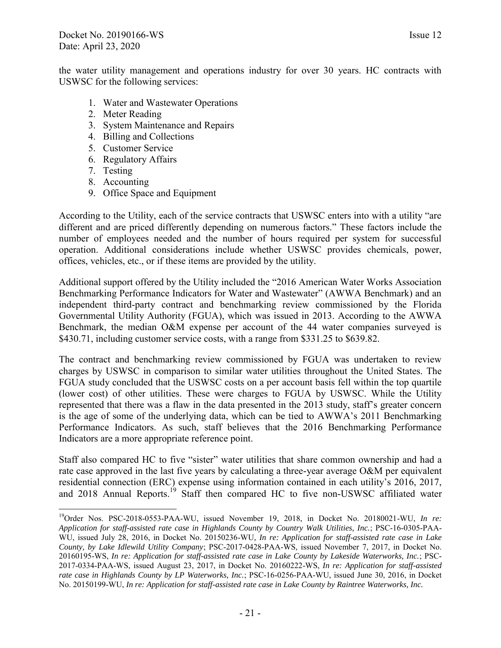the water utility management and operations industry for over 30 years. HC contracts with USWSC for the following services:

- 1. Water and Wastewater Operations
- 2. Meter Reading
- 3. System Maintenance and Repairs
- 4. Billing and Collections
- 5. Customer Service
- 6. Regulatory Affairs
- 7. Testing

 $\overline{a}$ 

- 8. Accounting
- 9. Office Space and Equipment

According to the Utility, each of the service contracts that USWSC enters into with a utility "are different and are priced differently depending on numerous factors." These factors include the number of employees needed and the number of hours required per system for successful operation. Additional considerations include whether USWSC provides chemicals, power, offices, vehicles, etc., or if these items are provided by the utility.

Additional support offered by the Utility included the "2016 American Water Works Association Benchmarking Performance Indicators for Water and Wastewater" (AWWA Benchmark) and an independent third-party contract and benchmarking review commissioned by the Florida Governmental Utility Authority (FGUA), which was issued in 2013. According to the AWWA Benchmark, the median O&M expense per account of the 44 water companies surveyed is \$430.71, including customer service costs, with a range from \$331.25 to \$639.82.

The contract and benchmarking review commissioned by FGUA was undertaken to review charges by USWSC in comparison to similar water utilities throughout the United States. The FGUA study concluded that the USWSC costs on a per account basis fell within the top quartile (lower cost) of other utilities. These were charges to FGUA by USWSC. While the Utility represented that there was a flaw in the data presented in the 2013 study, staff's greater concern is the age of some of the underlying data, which can be tied to AWWA's 2011 Benchmarking Performance Indicators. As such, staff believes that the 2016 Benchmarking Performance Indicators are a more appropriate reference point.

Staff also compared HC to five "sister" water utilities that share common ownership and had a rate case approved in the last five years by calculating a three-year average O&M per equivalent residential connection (ERC) expense using information contained in each utility's 2016, 2017, and 2018 Annual Reports.<sup>19</sup> Staff then compared HC to five non-USWSC affiliated water

<sup>19</sup>Order Nos. PSC-2018-0553-PAA-WU, issued November 19, 2018, in Docket No. 20180021-WU, *In re: Application for staff-assisted rate case in Highlands County by Country Walk Utilities, Inc.*; PSC-16-0305-PAA-WU, issued July 28, 2016, in Docket No. 20150236-WU*, In re: Application for staff-assisted rate case in Lake County, by Lake Idlewild Utility Company*; PSC-2017-0428-PAA-WS, issued November 7, 2017, in Docket No. 20160195-WS, *In re: Application for staff-assisted rate case in Lake County by Lakeside Waterworks, Inc.*; PSC-2017-0334-PAA-WS, issued August 23, 2017, in Docket No. 20160222-WS, *In re: Application for staff-assisted rate case in Highlands County by LP Waterworks, Inc.*; PSC-16-0256-PAA-WU, issued June 30, 2016, in Docket No. 20150199-WU, *In re: Application for staff-assisted rate case in Lake County by Raintree Waterworks, Inc.*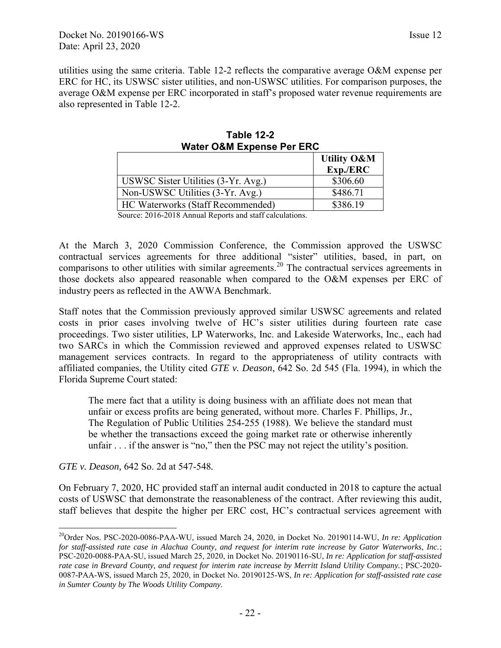utilities using the same criteria. Table 12-2 reflects the comparative average O&M expense per ERC for HC, its USWSC sister utilities, and non-USWSC utilities. For comparison purposes, the average O&M expense per ERC incorporated in staff's proposed water revenue requirements are also represented in Table 12-2.

| <b>HAGU VAN LAPUNG I UI LITU</b>       |                        |  |  |  |  |
|----------------------------------------|------------------------|--|--|--|--|
|                                        | <b>Utility O&amp;M</b> |  |  |  |  |
|                                        | Exp./ERC               |  |  |  |  |
| USWSC Sister Utilities (3-Yr. Avg.)    | \$306.60               |  |  |  |  |
| Non-USWSC Utilities (3-Yr. Avg.)       | \$486.71               |  |  |  |  |
| HC Waterworks (Staff Recommended)      | \$386.19               |  |  |  |  |
| 0.0170010110101110011<br>$\sim$ $\sim$ |                        |  |  |  |  |

**Table 12-2 Water O&M Expense Per ERC** 

Source: 2016-2018 Annual Reports and staff calculations.

At the March 3, 2020 Commission Conference, the Commission approved the USWSC contractual services agreements for three additional "sister" utilities, based, in part, on comparisons to other utilities with similar agreements.<sup>20</sup> The contractual services agreements in those dockets also appeared reasonable when compared to the O&M expenses per ERC of industry peers as reflected in the AWWA Benchmark.

Staff notes that the Commission previously approved similar USWSC agreements and related costs in prior cases involving twelve of HC's sister utilities during fourteen rate case proceedings. Two sister utilities, LP Waterworks, Inc. and Lakeside Waterworks, Inc., each had two SARCs in which the Commission reviewed and approved expenses related to USWSC management services contracts. In regard to the appropriateness of utility contracts with affiliated companies, the Utility cited *GTE v. Deason*, 642 So. 2d 545 (Fla. 1994), in which the Florida Supreme Court stated:

The mere fact that a utility is doing business with an affiliate does not mean that unfair or excess profits are being generated, without more. Charles F. Phillips, Jr., The Regulation of Public Utilities 254-255 (1988). We believe the standard must be whether the transactions exceed the going market rate or otherwise inherently unfair . . . if the answer is "no," then the PSC may not reject the utility's position.

*GTE v. Deason,* 642 So. 2d at 547-548*.*

 $\overline{a}$ 

On February 7, 2020, HC provided staff an internal audit conducted in 2018 to capture the actual costs of USWSC that demonstrate the reasonableness of the contract. After reviewing this audit, staff believes that despite the higher per ERC cost, HC's contractual services agreement with

<sup>&</sup>lt;sup>20</sup>Order Nos. PSC-2020-0086-PAA-WU, issued March 24, 2020, in Docket No. 20190114-WU, *In re: Application for staff-assisted rate case in Alachua County, and request for interim rate increase by Gator Waterworks, Inc.*; PSC-2020-0088-PAA-SU, issued March 25, 2020, in Docket No. 20190116-SU, *In re: Application for staff-assisted rate case in Brevard County, and request for interim rate increase by Merritt Island Utility Company.*; PSC-2020- 0087-PAA-WS, issued March 25, 2020, in Docket No. 20190125-WS, *In re: Application for staff-assisted rate case in Sumter County by The Woods Utility Company.*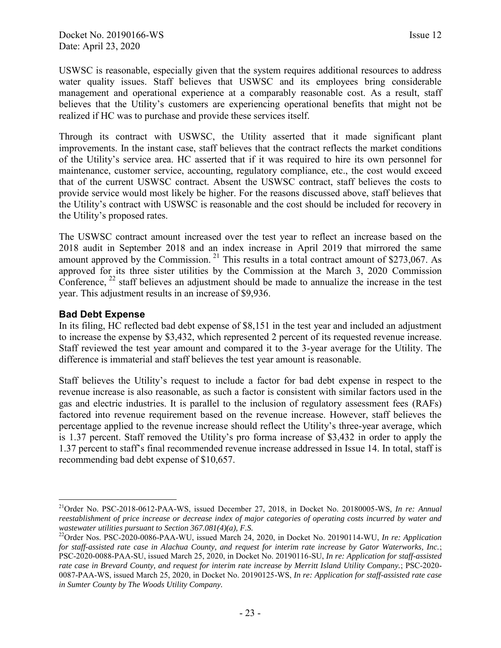USWSC is reasonable, especially given that the system requires additional resources to address water quality issues. Staff believes that USWSC and its employees bring considerable management and operational experience at a comparably reasonable cost. As a result, staff believes that the Utility's customers are experiencing operational benefits that might not be realized if HC was to purchase and provide these services itself.

Through its contract with USWSC, the Utility asserted that it made significant plant improvements. In the instant case, staff believes that the contract reflects the market conditions of the Utility's service area. HC asserted that if it was required to hire its own personnel for maintenance, customer service, accounting, regulatory compliance, etc., the cost would exceed that of the current USWSC contract. Absent the USWSC contract, staff believes the costs to provide service would most likely be higher. For the reasons discussed above, staff believes that the Utility's contract with USWSC is reasonable and the cost should be included for recovery in the Utility's proposed rates.

The USWSC contract amount increased over the test year to reflect an increase based on the 2018 audit in September 2018 and an index increase in April 2019 that mirrored the same amount approved by the Commission.<sup>21</sup> This results in a total contract amount of \$273,067. As approved for its three sister utilities by the Commission at the March 3, 2020 Commission Conference,  $^{22}$  staff believes an adjustment should be made to annualize the increase in the test year. This adjustment results in an increase of \$9,936.

#### **Bad Debt Expense**

 $\overline{a}$ 

In its filing, HC reflected bad debt expense of \$8,151 in the test year and included an adjustment to increase the expense by \$3,432, which represented 2 percent of its requested revenue increase. Staff reviewed the test year amount and compared it to the 3-year average for the Utility. The difference is immaterial and staff believes the test year amount is reasonable.

Staff believes the Utility's request to include a factor for bad debt expense in respect to the revenue increase is also reasonable, as such a factor is consistent with similar factors used in the gas and electric industries. It is parallel to the inclusion of regulatory assessment fees (RAFs) factored into revenue requirement based on the revenue increase. However, staff believes the percentage applied to the revenue increase should reflect the Utility's three-year average, which is 1.37 percent. Staff removed the Utility's pro forma increase of \$3,432 in order to apply the 1.37 percent to staff's final recommended revenue increase addressed in Issue 14. In total, staff is recommending bad debt expense of \$10,657.

<sup>21</sup>Order No. PSC-2018-0612-PAA-WS, issued December 27, 2018, in Docket No. 20180005-WS*, In re: Annual reestablishment of price increase or decrease index of major categories of operating costs incurred by water and wastewater utilities pursuant to Section 367.081(4)(a), F.S.*

<sup>22</sup>Order Nos. PSC-2020-0086-PAA-WU, issued March 24, 2020, in Docket No. 20190114-WU, *In re: Application for staff-assisted rate case in Alachua County, and request for interim rate increase by Gator Waterworks, Inc.*; PSC-2020-0088-PAA-SU, issued March 25, 2020, in Docket No. 20190116-SU, *In re: Application for staff-assisted rate case in Brevard County, and request for interim rate increase by Merritt Island Utility Company.*; PSC-2020- 0087-PAA-WS, issued March 25, 2020, in Docket No. 20190125-WS, *In re: Application for staff-assisted rate case in Sumter County by The Woods Utility Company.*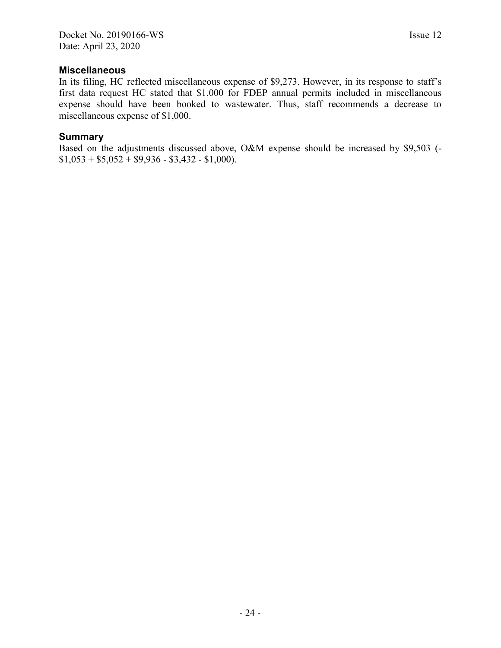#### **Miscellaneous**

In its filing, HC reflected miscellaneous expense of \$9,273. However, in its response to staff's first data request HC stated that \$1,000 for FDEP annual permits included in miscellaneous expense should have been booked to wastewater. Thus, staff recommends a decrease to miscellaneous expense of \$1,000.

#### **Summary**

Based on the adjustments discussed above, O&M expense should be increased by \$9,503 (-  $$1,053 + $5,052 + $9,936 - $3,432 - $1,000$ .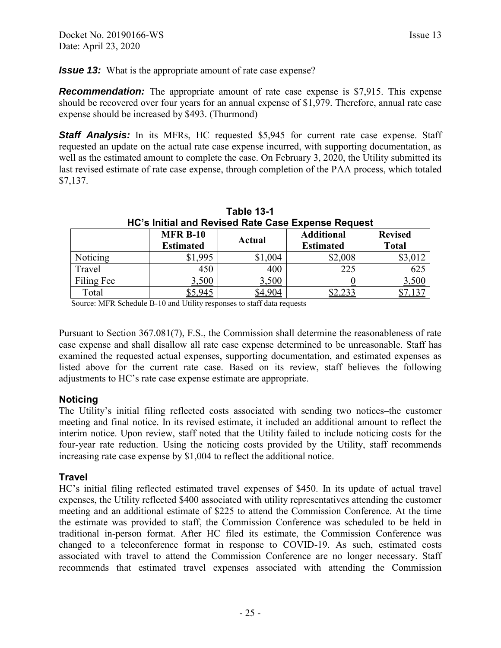<span id="page-26-0"></span>*Issue 13:* What is the appropriate amount of rate case expense?

**Recommendation:** The appropriate amount of rate case expense is \$7,915. This expense should be recovered over four years for an annual expense of \$1,979. Therefore, annual rate case expense should be increased by \$493. (Thurmond)

**Staff Analysis:** In its MFRs, HC requested \$5,945 for current rate case expense. Staff requested an update on the actual rate case expense incurred, with supporting documentation, as well as the estimated amount to complete the case. On February 3, 2020, the Utility submitted its last revised estimate of rate case expense, through completion of the PAA process, which totaled \$7,137.

| HC's Initial and Revised Rate Case Expense Request |                  |         |                   |                |  |  |  |  |
|----------------------------------------------------|------------------|---------|-------------------|----------------|--|--|--|--|
|                                                    | <b>MFR B-10</b>  |         | <b>Additional</b> | <b>Revised</b> |  |  |  |  |
|                                                    | <b>Estimated</b> | Actual  | <b>Estimated</b>  | <b>Total</b>   |  |  |  |  |
| Noticing                                           | \$1,995          | \$1,004 | \$2,008           | \$3,012        |  |  |  |  |
| Travel                                             | 450              | 400     | 225               | 625            |  |  |  |  |
| Filing Fee                                         | 3,500            | 3,500   |                   | <u>3,500</u>   |  |  |  |  |
| Total                                              | 5,945            | 4904    |                   |                |  |  |  |  |

**Table 13-1** 

Source: MFR Schedule B-10 and Utility responses to staff data requests

Pursuant to Section 367.081(7), F.S., the Commission shall determine the reasonableness of rate case expense and shall disallow all rate case expense determined to be unreasonable. Staff has examined the requested actual expenses, supporting documentation, and estimated expenses as listed above for the current rate case. Based on its review, staff believes the following adjustments to HC's rate case expense estimate are appropriate.

#### **Noticing**

The Utility's initial filing reflected costs associated with sending two notices–the customer meeting and final notice. In its revised estimate, it included an additional amount to reflect the interim notice. Upon review, staff noted that the Utility failed to include noticing costs for the four-year rate reduction. Using the noticing costs provided by the Utility, staff recommends increasing rate case expense by \$1,004 to reflect the additional notice.

#### **Travel**

HC's initial filing reflected estimated travel expenses of \$450. In its update of actual travel expenses, the Utility reflected \$400 associated with utility representatives attending the customer meeting and an additional estimate of \$225 to attend the Commission Conference. At the time the estimate was provided to staff, the Commission Conference was scheduled to be held in traditional in-person format. After HC filed its estimate, the Commission Conference was changed to a teleconference format in response to COVID-19. As such, estimated costs associated with travel to attend the Commission Conference are no longer necessary. Staff recommends that estimated travel expenses associated with attending the Commission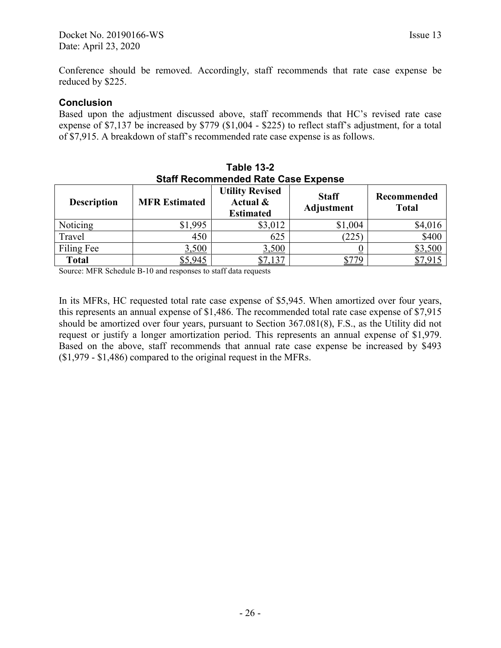Conference should be removed. Accordingly, staff recommends that rate case expense be reduced by \$225.

#### **Conclusion**

Based upon the adjustment discussed above, staff recommends that HC's revised rate case expense of \$7,137 be increased by \$779 (\$1,004 - \$225) to reflect staff's adjustment, for a total of \$7,915. A breakdown of staff's recommended rate case expense is as follows.

| Staff Recommended Rate Case Expense |                      |                                                        |                            |                             |  |  |  |  |
|-------------------------------------|----------------------|--------------------------------------------------------|----------------------------|-----------------------------|--|--|--|--|
| <b>Description</b>                  | <b>MFR Estimated</b> | <b>Utility Revised</b><br>Actual &<br><b>Estimated</b> | <b>Staff</b><br>Adjustment | Recommended<br><b>Total</b> |  |  |  |  |
| Noticing                            | \$1,995              | \$3,012                                                | \$1,004                    | \$4,016                     |  |  |  |  |
| Travel                              | 450                  | 625                                                    | (225)                      | \$400                       |  |  |  |  |
| Filing Fee                          | 3,500                | 3,500                                                  |                            | \$3,500                     |  |  |  |  |
| <b>Total</b>                        | \$5,945              | $,13^{-}$                                              |                            |                             |  |  |  |  |

| Table 13-2                                 |
|--------------------------------------------|
| <b>Staff Recommended Rate Case Expense</b> |

Source: MFR Schedule B-10 and responses to staff data requests

In its MFRs, HC requested total rate case expense of \$5,945. When amortized over four years, this represents an annual expense of \$1,486. The recommended total rate case expense of \$7,915 should be amortized over four years, pursuant to Section 367.081(8), F.S., as the Utility did not request or justify a longer amortization period. This represents an annual expense of \$1,979. Based on the above, staff recommends that annual rate case expense be increased by \$493 (\$1,979 - \$1,486) compared to the original request in the MFRs.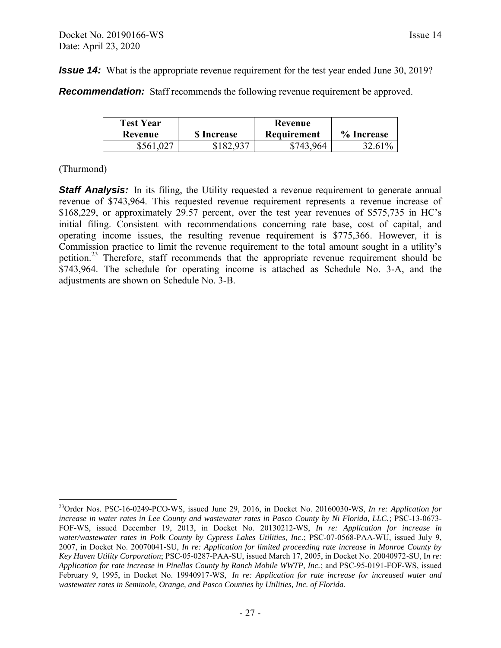<span id="page-28-0"></span>**Recommendation:** Staff recommends the following revenue requirement be approved.

| <b>Test Year</b><br>Revenue | <b>S</b> Increase |           | % Increase |
|-----------------------------|-------------------|-----------|------------|
| \$561,027                   | \$182.937         | \$743,964 | 32.61%     |

#### (Thurmond)

 $\overline{a}$ 

**Staff Analysis:** In its filing, the Utility requested a revenue requirement to generate annual revenue of \$743,964. This requested revenue requirement represents a revenue increase of \$168,229, or approximately 29.57 percent, over the test year revenues of \$575,735 in HC's initial filing. Consistent with recommendations concerning rate base, cost of capital, and operating income issues, the resulting revenue requirement is \$775,366. However, it is Commission practice to limit the revenue requirement to the total amount sought in a utility's petition.<sup>23</sup> Therefore, staff recommends that the appropriate revenue requirement should be \$743,964. The schedule for operating income is attached as Schedule No. 3-A, and the adjustments are shown on Schedule No. 3-B.

<sup>23</sup>Order Nos. PSC-16-0249-PCO-WS, issued June 29, 2016, in Docket No. 20160030-WS, *In re: Application for increase in water rates in Lee County and wastewater rates in Pasco County by Ni Florida, LLC.*; PSC-13-0673- FOF-WS, issued December 19, 2013, in Docket No. 20130212-WS, *In re: Application for increase in water/wastewater rates in Polk County by Cypress Lakes Utilities, Inc.*; PSC-07-0568-PAA-WU, issued July 9, 2007, in Docket No. 20070041-SU, *In re: Application for limited proceeding rate increase in Monroe County by Key Haven Utility Corporation*; PSC-05-0287-PAA-SU, issued March 17, 2005, in Docket No. 20040972-SU, I*n re: Application for rate increase in Pinellas County by Ranch Mobile WWTP, Inc.*; and PSC-95-0191-FOF-WS, issued February 9, 1995, in Docket No. 19940917-WS, *In re: Application for rate increase for increased water and wastewater rates in Seminole, Orange, and Pasco Counties by Utilities, Inc. of Florida.*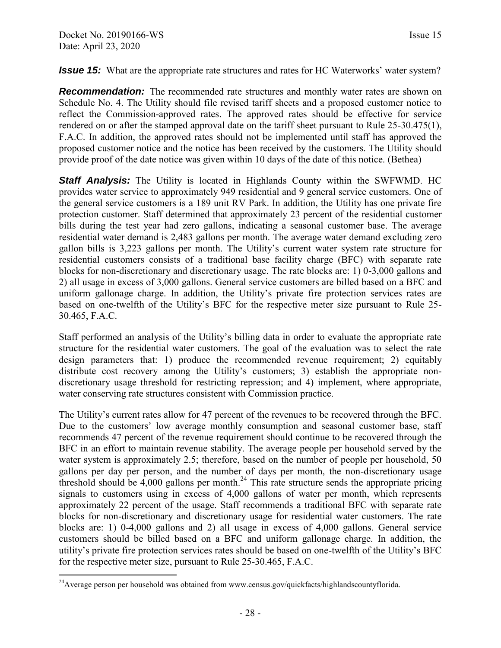<span id="page-29-0"></span>*Issue 15:* What are the appropriate rate structures and rates for HC Waterworks' water system?

*Recommendation:* The recommended rate structures and monthly water rates are shown on Schedule No. 4. The Utility should file revised tariff sheets and a proposed customer notice to reflect the Commission-approved rates. The approved rates should be effective for service rendered on or after the stamped approval date on the tariff sheet pursuant to Rule 25-30.475(1), F.A.C. In addition, the approved rates should not be implemented until staff has approved the proposed customer notice and the notice has been received by the customers. The Utility should provide proof of the date notice was given within 10 days of the date of this notice. (Bethea)

**Staff Analysis:** The Utility is located in Highlands County within the SWFWMD. HC provides water service to approximately 949 residential and 9 general service customers. One of the general service customers is a 189 unit RV Park. In addition, the Utility has one private fire protection customer. Staff determined that approximately 23 percent of the residential customer bills during the test year had zero gallons, indicating a seasonal customer base. The average residential water demand is 2,483 gallons per month. The average water demand excluding zero gallon bills is 3,223 gallons per month. The Utility's current water system rate structure for residential customers consists of a traditional base facility charge (BFC) with separate rate blocks for non-discretionary and discretionary usage. The rate blocks are: 1) 0-3,000 gallons and 2) all usage in excess of 3,000 gallons. General service customers are billed based on a BFC and uniform gallonage charge. In addition, the Utility's private fire protection services rates are based on one-twelfth of the Utility's BFC for the respective meter size pursuant to Rule 25- 30.465, F.A.C.

Staff performed an analysis of the Utility's billing data in order to evaluate the appropriate rate structure for the residential water customers. The goal of the evaluation was to select the rate design parameters that: 1) produce the recommended revenue requirement; 2) equitably distribute cost recovery among the Utility's customers; 3) establish the appropriate nondiscretionary usage threshold for restricting repression; and 4) implement, where appropriate, water conserving rate structures consistent with Commission practice.

The Utility's current rates allow for 47 percent of the revenues to be recovered through the BFC. Due to the customers' low average monthly consumption and seasonal customer base, staff recommends 47 percent of the revenue requirement should continue to be recovered through the BFC in an effort to maintain revenue stability. The average people per household served by the water system is approximately 2.5; therefore, based on the number of people per household, 50 gallons per day per person, and the number of days per month, the non-discretionary usage threshold should be  $4,000$  gallons per month.<sup>24</sup> This rate structure sends the appropriate pricing signals to customers using in excess of 4,000 gallons of water per month, which represents approximately 22 percent of the usage. Staff recommends a traditional BFC with separate rate blocks for non-discretionary and discretionary usage for residential water customers. The rate blocks are: 1) 0-4,000 gallons and 2) all usage in excess of 4,000 gallons. General service customers should be billed based on a BFC and uniform gallonage charge. In addition, the utility's private fire protection services rates should be based on one-twelfth of the Utility's BFC for the respective meter size, pursuant to Rule 25-30.465, F.A.C.

<sup>&</sup>lt;sup>24</sup>Average person per household was obtained from www.census.gov/quickfacts/highlandscountyflorida.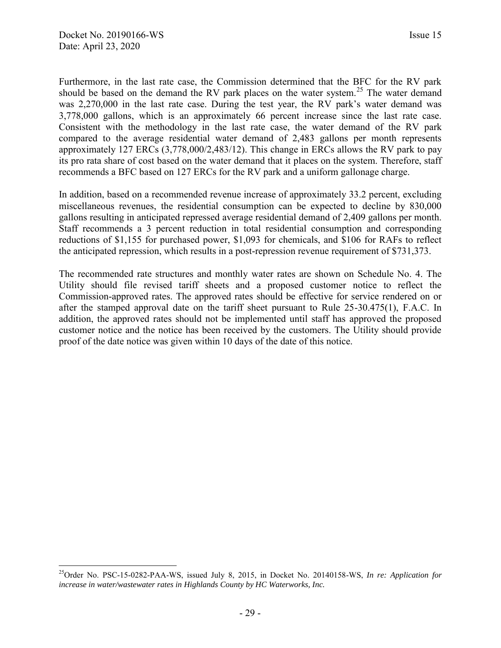Furthermore, in the last rate case, the Commission determined that the BFC for the RV park should be based on the demand the RV park places on the water system.<sup>25</sup> The water demand was 2,270,000 in the last rate case. During the test year, the RV park's water demand was 3,778,000 gallons, which is an approximately 66 percent increase since the last rate case. Consistent with the methodology in the last rate case, the water demand of the RV park compared to the average residential water demand of 2,483 gallons per month represents approximately 127 ERCs (3,778,000/2,483/12). This change in ERCs allows the RV park to pay its pro rata share of cost based on the water demand that it places on the system. Therefore, staff recommends a BFC based on 127 ERCs for the RV park and a uniform gallonage charge.

In addition, based on a recommended revenue increase of approximately 33.2 percent, excluding miscellaneous revenues, the residential consumption can be expected to decline by 830,000 gallons resulting in anticipated repressed average residential demand of 2,409 gallons per month. Staff recommends a 3 percent reduction in total residential consumption and corresponding reductions of \$1,155 for purchased power, \$1,093 for chemicals, and \$106 for RAFs to reflect the anticipated repression, which results in a post-repression revenue requirement of \$731,373.

The recommended rate structures and monthly water rates are shown on Schedule No. 4. The Utility should file revised tariff sheets and a proposed customer notice to reflect the Commission-approved rates. The approved rates should be effective for service rendered on or after the stamped approval date on the tariff sheet pursuant to Rule 25-30.475(1), F.A.C. In addition, the approved rates should not be implemented until staff has approved the proposed customer notice and the notice has been received by the customers. The Utility should provide proof of the date notice was given within 10 days of the date of this notice.

<sup>25</sup>Order No. PSC-15-0282-PAA-WS, issued July 8, 2015, in Docket No. 20140158-WS, *In re: Application for increase in water/wastewater rates in Highlands County by HC Waterworks, Inc.*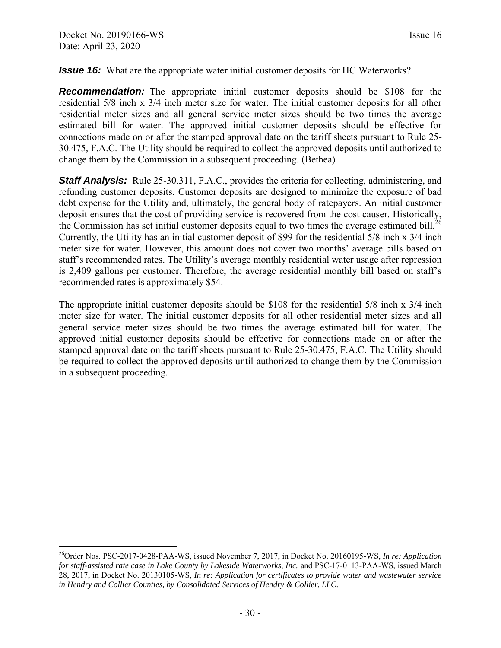#### <span id="page-31-0"></span>*Issue 16:* What are the appropriate water initial customer deposits for HC Waterworks?

**Recommendation:** The appropriate initial customer deposits should be \$108 for the residential 5/8 inch x 3/4 inch meter size for water. The initial customer deposits for all other residential meter sizes and all general service meter sizes should be two times the average estimated bill for water. The approved initial customer deposits should be effective for connections made on or after the stamped approval date on the tariff sheets pursuant to Rule 25- 30.475, F.A.C. The Utility should be required to collect the approved deposits until authorized to change them by the Commission in a subsequent proceeding. (Bethea)

**Staff Analysis:** Rule 25-30.311, F.A.C., provides the criteria for collecting, administering, and refunding customer deposits. Customer deposits are designed to minimize the exposure of bad debt expense for the Utility and, ultimately, the general body of ratepayers. An initial customer deposit ensures that the cost of providing service is recovered from the cost causer. Historically, the Commission has set initial customer deposits equal to two times the average estimated bill.<sup>26</sup> Currently, the Utility has an initial customer deposit of \$99 for the residential 5/8 inch x 3/4 inch meter size for water. However, this amount does not cover two months' average bills based on staff's recommended rates. The Utility's average monthly residential water usage after repression is 2,409 gallons per customer. Therefore, the average residential monthly bill based on staff's recommended rates is approximately \$54.

The appropriate initial customer deposits should be \$108 for the residential 5/8 inch x 3/4 inch meter size for water. The initial customer deposits for all other residential meter sizes and all general service meter sizes should be two times the average estimated bill for water. The approved initial customer deposits should be effective for connections made on or after the stamped approval date on the tariff sheets pursuant to Rule 25-30.475, F.A.C. The Utility should be required to collect the approved deposits until authorized to change them by the Commission in a subsequent proceeding.

<sup>26</sup>Order Nos. PSC-2017-0428-PAA-WS, issued November 7, 2017, in Docket No. 20160195-WS, *In re: Application for staff-assisted rate case in Lake County by Lakeside Waterworks, Inc.* and PSC-17-0113-PAA-WS, issued March 28, 2017, in Docket No. 20130105-WS, *In re: Application for certificates to provide water and wastewater service in Hendry and Collier Counties, by Consolidated Services of Hendry & Collier, LLC.*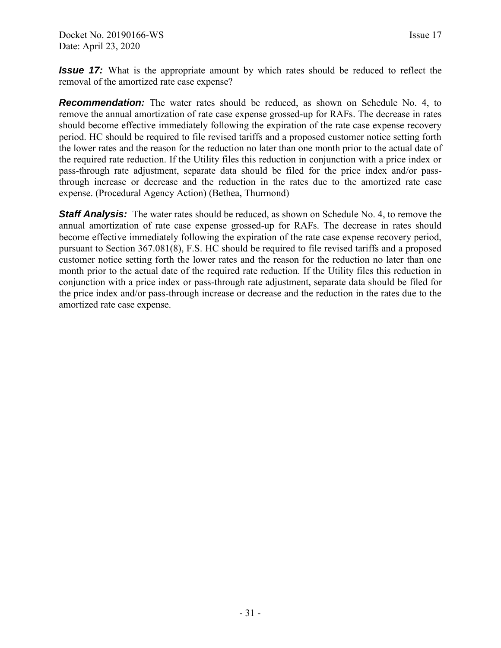<span id="page-32-0"></span>*Issue 17:* What is the appropriate amount by which rates should be reduced to reflect the removal of the amortized rate case expense?

**Recommendation:** The water rates should be reduced, as shown on Schedule No. 4, to remove the annual amortization of rate case expense grossed-up for RAFs. The decrease in rates should become effective immediately following the expiration of the rate case expense recovery period. HC should be required to file revised tariffs and a proposed customer notice setting forth the lower rates and the reason for the reduction no later than one month prior to the actual date of the required rate reduction. If the Utility files this reduction in conjunction with a price index or pass-through rate adjustment, separate data should be filed for the price index and/or passthrough increase or decrease and the reduction in the rates due to the amortized rate case expense. (Procedural Agency Action) (Bethea, Thurmond)

**Staff Analysis:** The water rates should be reduced, as shown on Schedule No. 4, to remove the annual amortization of rate case expense grossed-up for RAFs. The decrease in rates should become effective immediately following the expiration of the rate case expense recovery period, pursuant to Section 367.081(8), F.S. HC should be required to file revised tariffs and a proposed customer notice setting forth the lower rates and the reason for the reduction no later than one month prior to the actual date of the required rate reduction. If the Utility files this reduction in conjunction with a price index or pass-through rate adjustment, separate data should be filed for the price index and/or pass-through increase or decrease and the reduction in the rates due to the amortized rate case expense.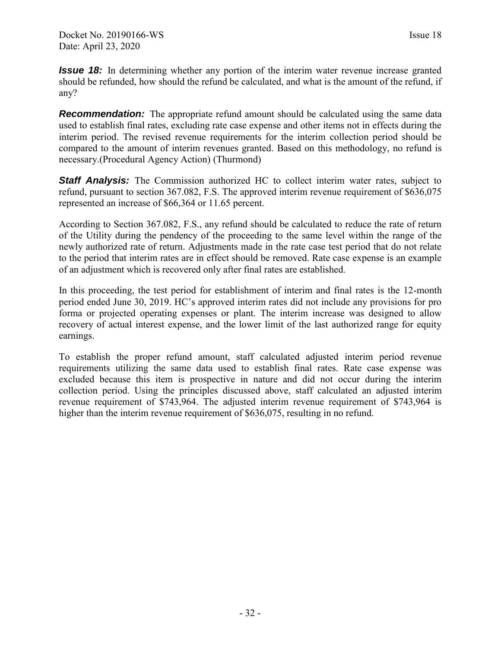<span id="page-33-0"></span>*Issue 18:* In determining whether any portion of the interim water revenue increase granted should be refunded, how should the refund be calculated, and what is the amount of the refund, if any?

**Recommendation:** The appropriate refund amount should be calculated using the same data used to establish final rates, excluding rate case expense and other items not in effects during the interim period. The revised revenue requirements for the interim collection period should be compared to the amount of interim revenues granted. Based on this methodology, no refund is necessary.(Procedural Agency Action) (Thurmond)

**Staff Analysis:** The Commission authorized HC to collect interim water rates, subject to refund, pursuant to section 367.082, F.S. The approved interim revenue requirement of \$636,075 represented an increase of \$66,364 or 11.65 percent.

According to Section 367.082, F.S., any refund should be calculated to reduce the rate of return of the Utility during the pendency of the proceeding to the same level within the range of the newly authorized rate of return. Adjustments made in the rate case test period that do not relate to the period that interim rates are in effect should be removed. Rate case expense is an example of an adjustment which is recovered only after final rates are established.

In this proceeding, the test period for establishment of interim and final rates is the 12-month period ended June 30, 2019. HC's approved interim rates did not include any provisions for pro forma or projected operating expenses or plant. The interim increase was designed to allow recovery of actual interest expense, and the lower limit of the last authorized range for equity earnings.

To establish the proper refund amount, staff calculated adjusted interim period revenue requirements utilizing the same data used to establish final rates. Rate case expense was excluded because this item is prospective in nature and did not occur during the interim collection period. Using the principles discussed above, staff calculated an adjusted interim revenue requirement of \$743,964. The adjusted interim revenue requirement of \$743,964 is higher than the interim revenue requirement of \$636,075, resulting in no refund.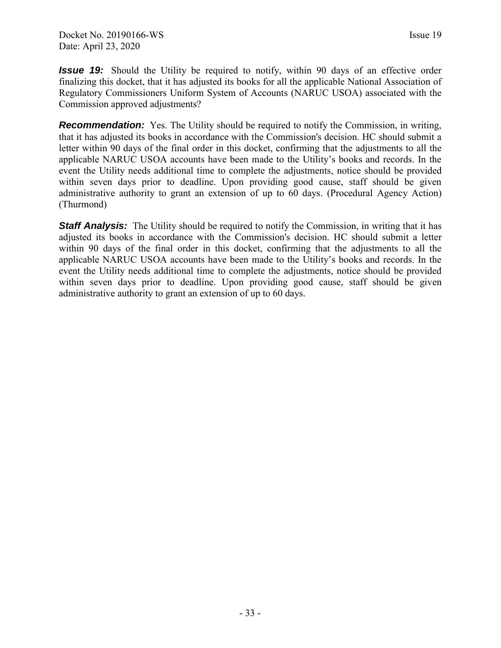<span id="page-34-0"></span>*Issue 19:* Should the Utility be required to notify, within 90 days of an effective order finalizing this docket, that it has adjusted its books for all the applicable National Association of Regulatory Commissioners Uniform System of Accounts (NARUC USOA) associated with the Commission approved adjustments?

**Recommendation:** Yes. The Utility should be required to notify the Commission, in writing, that it has adjusted its books in accordance with the Commission's decision. HC should submit a letter within 90 days of the final order in this docket, confirming that the adjustments to all the applicable NARUC USOA accounts have been made to the Utility's books and records. In the event the Utility needs additional time to complete the adjustments, notice should be provided within seven days prior to deadline. Upon providing good cause, staff should be given administrative authority to grant an extension of up to 60 days. (Procedural Agency Action) (Thurmond)

**Staff Analysis:** The Utility should be required to notify the Commission, in writing that it has adjusted its books in accordance with the Commission's decision. HC should submit a letter within 90 days of the final order in this docket, confirming that the adjustments to all the applicable NARUC USOA accounts have been made to the Utility's books and records. In the event the Utility needs additional time to complete the adjustments, notice should be provided within seven days prior to deadline. Upon providing good cause, staff should be given administrative authority to grant an extension of up to 60 days.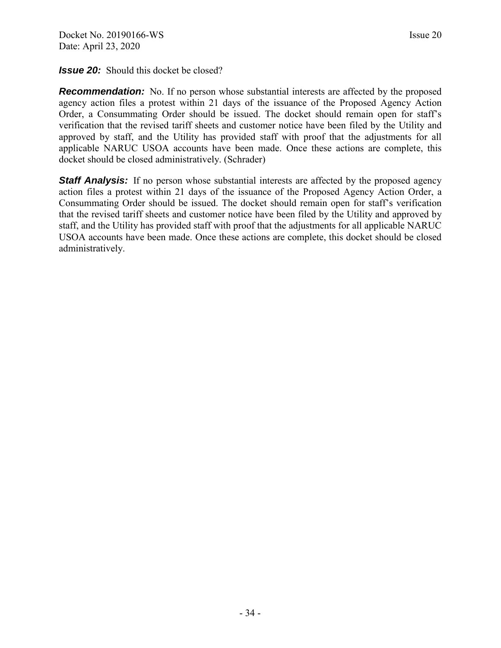<span id="page-35-0"></span>*Issue 20:* Should this docket be closed?

**Recommendation:** No. If no person whose substantial interests are affected by the proposed agency action files a protest within 21 days of the issuance of the Proposed Agency Action Order, a Consummating Order should be issued. The docket should remain open for staff's verification that the revised tariff sheets and customer notice have been filed by the Utility and approved by staff, and the Utility has provided staff with proof that the adjustments for all applicable NARUC USOA accounts have been made. Once these actions are complete, this docket should be closed administratively. (Schrader)

**Staff Analysis:** If no person whose substantial interests are affected by the proposed agency action files a protest within 21 days of the issuance of the Proposed Agency Action Order, a Consummating Order should be issued. The docket should remain open for staff's verification that the revised tariff sheets and customer notice have been filed by the Utility and approved by staff, and the Utility has provided staff with proof that the adjustments for all applicable NARUC USOA accounts have been made. Once these actions are complete, this docket should be closed administratively.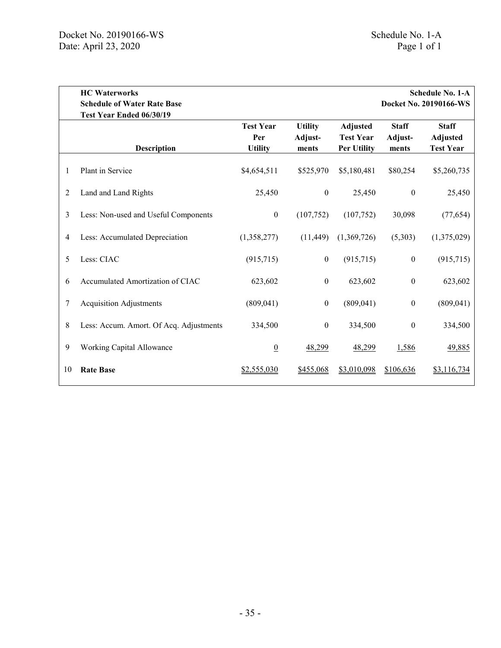<span id="page-36-0"></span>

|    | <b>HC</b> Waterworks<br><b>Schedule of Water Rate Base</b> |                                           |                                    |                                                           |                                  | <b>Schedule No. 1-A</b><br>Docket No. 20190166-WS   |
|----|------------------------------------------------------------|-------------------------------------------|------------------------------------|-----------------------------------------------------------|----------------------------------|-----------------------------------------------------|
|    | Test Year Ended 06/30/19<br><b>Description</b>             | <b>Test Year</b><br>Per<br><b>Utility</b> | <b>Utility</b><br>Adjust-<br>ments | <b>Adjusted</b><br><b>Test Year</b><br><b>Per Utility</b> | <b>Staff</b><br>Adjust-<br>ments | <b>Staff</b><br><b>Adjusted</b><br><b>Test Year</b> |
| 1  | Plant in Service                                           | \$4,654,511                               | \$525,970                          | \$5,180,481                                               | \$80,254                         | \$5,260,735                                         |
| 2  | Land and Land Rights                                       | 25,450                                    | $\boldsymbol{0}$                   | 25,450                                                    | $\boldsymbol{0}$                 | 25,450                                              |
| 3  | Less: Non-used and Useful Components                       | $\boldsymbol{0}$                          | (107,752)                          | (107,752)                                                 | 30,098                           | (77, 654)                                           |
| 4  | Less: Accumulated Depreciation                             | (1,358,277)                               | (11, 449)                          | (1,369,726)                                               | (5,303)                          | (1,375,029)                                         |
| 5  | Less: CIAC                                                 | (915,715)                                 | $\boldsymbol{0}$                   | (915, 715)                                                | $\boldsymbol{0}$                 | (915,715)                                           |
| 6  | Accumulated Amortization of CIAC                           | 623,602                                   | $\boldsymbol{0}$                   | 623,602                                                   | $\boldsymbol{0}$                 | 623,602                                             |
| 7  | <b>Acquisition Adjustments</b>                             | (809, 041)                                | $\boldsymbol{0}$                   | (809, 041)                                                | $\mathbf{0}$                     | (809, 041)                                          |
| 8  | Less: Accum. Amort. Of Acq. Adjustments                    | 334,500                                   | $\boldsymbol{0}$                   | 334,500                                                   | $\boldsymbol{0}$                 | 334,500                                             |
| 9  | Working Capital Allowance                                  | $\overline{0}$                            | 48,299                             | 48,299                                                    | 1,586                            | 49,885                                              |
| 10 | <b>Rate Base</b>                                           | \$2,555,030                               | \$455,068                          | \$3,010,098                                               | \$106,636                        | \$3,116,734                                         |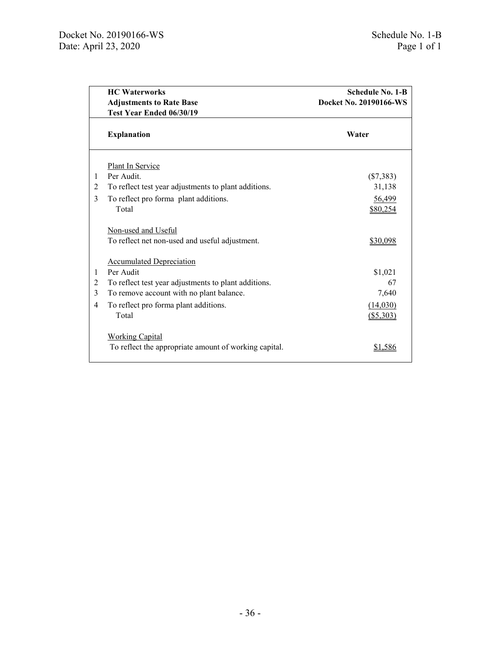<span id="page-37-0"></span>

|   | <b>HC</b> Waterworks<br><b>Adjustments to Rate Base</b><br>Test Year Ended 06/30/19 | <b>Schedule No. 1-B</b><br>Docket No. 20190166-WS |
|---|-------------------------------------------------------------------------------------|---------------------------------------------------|
|   | <b>Explanation</b>                                                                  | Water                                             |
|   | Plant In Service                                                                    |                                                   |
| 1 | Per Audit                                                                           | $(\$7,383)$                                       |
| 2 | To reflect test year adjustments to plant additions.                                | 31,138                                            |
| 3 | To reflect pro forma plant additions.                                               | 56,499                                            |
|   | Total                                                                               | \$80,254                                          |
|   | Non-used and Useful                                                                 |                                                   |
|   | To reflect net non-used and useful adjustment.                                      | \$30,098                                          |
|   | <b>Accumulated Depreciation</b>                                                     |                                                   |
| 1 | Per Audit                                                                           | \$1,021                                           |
| 2 | To reflect test year adjustments to plant additions.                                | 67                                                |
| 3 | To remove account with no plant balance.                                            | 7,640                                             |
| 4 | To reflect pro forma plant additions.                                               | (14,030)                                          |
|   | Total                                                                               | (\$5,303)                                         |
|   | <b>Working Capital</b>                                                              |                                                   |
|   | To reflect the appropriate amount of working capital.                               | \$1,586                                           |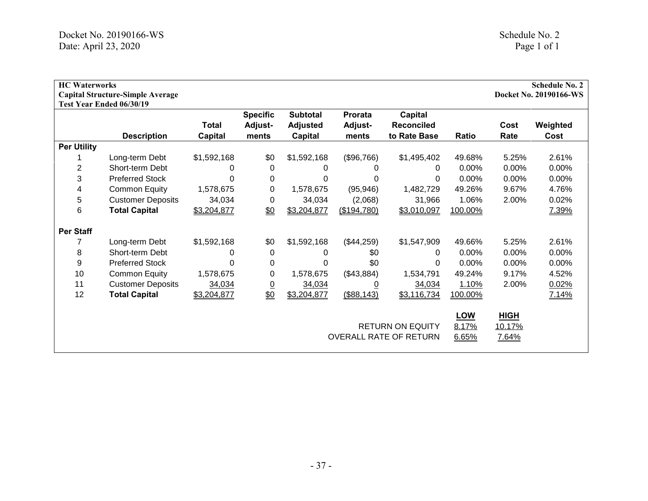<span id="page-38-0"></span>

| <b>HC</b> Waterworks | <b>Capital Structure-Simple Average</b><br>Test Year Ended 06/30/19 |                         |                                            |                                               |                                    |                                                          |                              |                                | <b>Schedule No. 2</b><br>Docket No. 20190166-WS |
|----------------------|---------------------------------------------------------------------|-------------------------|--------------------------------------------|-----------------------------------------------|------------------------------------|----------------------------------------------------------|------------------------------|--------------------------------|-------------------------------------------------|
|                      | <b>Description</b>                                                  | Total<br><b>Capital</b> | <b>Specific</b><br><b>Adjust-</b><br>ments | <b>Subtotal</b><br><b>Adjusted</b><br>Capital | <b>Prorata</b><br>Adjust-<br>ments | Capital<br><b>Reconciled</b><br>to Rate Base             | <b>Ratio</b>                 | Cost<br>Rate                   | Weighted<br>Cost                                |
| <b>Per Utility</b>   |                                                                     |                         |                                            |                                               |                                    |                                                          |                              |                                |                                                 |
|                      | Long-term Debt                                                      | \$1,592,168             | \$0                                        | \$1,592,168                                   | (\$96,766)                         | \$1,495,402                                              | 49.68%                       | 5.25%                          | 2.61%                                           |
| 2                    | Short-term Debt                                                     | 0                       | 0                                          | 0                                             | 0                                  | 0                                                        | 0.00%                        | 0.00%                          | 0.00%                                           |
| 3                    | <b>Preferred Stock</b>                                              | 0                       | 0                                          | 0                                             | 0                                  | 0                                                        | $0.00\%$                     | 0.00%                          | 0.00%                                           |
| 4                    | <b>Common Equity</b>                                                | 1,578,675               | 0                                          | 1,578,675                                     | (95, 946)                          | 1,482,729                                                | 49.26%                       | 9.67%                          | 4.76%                                           |
| 5                    | <b>Customer Deposits</b>                                            | 34,034                  | 0                                          | 34,034                                        | (2,068)                            | 31,966                                                   | 1.06%                        | 2.00%                          | 0.02%                                           |
| 6                    | <b>Total Capital</b>                                                | \$3,204,877             | \$0                                        | \$3,204,877                                   | (\$194,780)                        | \$3,010,097                                              | 100.00%                      |                                | 7.39%                                           |
| <b>Per Staff</b>     |                                                                     |                         |                                            |                                               |                                    |                                                          |                              |                                |                                                 |
| 7                    | Long-term Debt                                                      | \$1,592,168             | \$0                                        | \$1,592,168                                   | (\$44,259)                         | \$1,547,909                                              | 49.66%                       | 5.25%                          | 2.61%                                           |
| 8                    | Short-term Debt                                                     | 0                       | 0                                          | 0                                             | \$0                                | 0                                                        | 0.00%                        | 0.00%                          | 0.00%                                           |
| 9                    | <b>Preferred Stock</b>                                              | 0                       | 0                                          | 0                                             | \$0                                | 0                                                        | $0.00\%$                     | 0.00%                          | 0.00%                                           |
| 10                   | <b>Common Equity</b>                                                | 1,578,675               | 0                                          | 1,578,675                                     | (\$43,884)                         | 1,534,791                                                | 49.24%                       | 9.17%                          | 4.52%                                           |
| 11                   | <b>Customer Deposits</b>                                            | 34,034                  | $\overline{0}$                             | 34,034                                        | <u>0</u>                           | 34,034                                                   | 1.10%                        | 2.00%                          | 0.02%                                           |
| 12                   | <b>Total Capital</b>                                                | \$3,204,877             | $\underline{\$0}$                          | \$3,204,877                                   | (\$88,143)                         | \$3,116,734                                              | 100.00%                      |                                | 7.14%                                           |
|                      |                                                                     |                         |                                            |                                               |                                    | <b>RETURN ON EQUITY</b><br><b>OVERALL RATE OF RETURN</b> | <b>LOW</b><br>8.17%<br>6.65% | <b>HIGH</b><br>10.17%<br>7.64% |                                                 |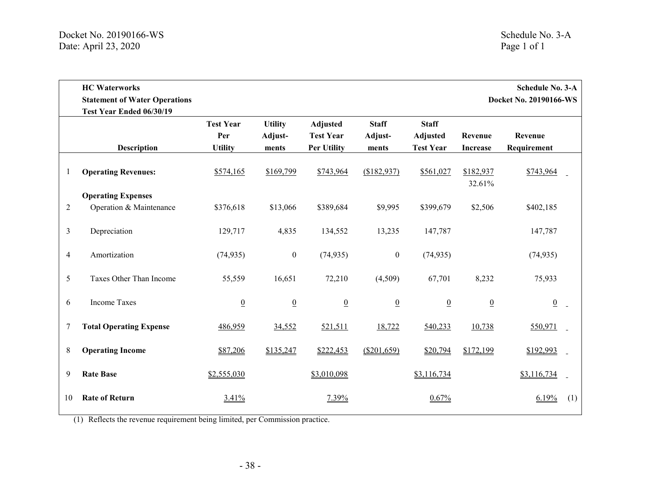<span id="page-39-0"></span>

|                | <b>HC</b> Waterworks<br><b>Schedule No. 3-A</b><br><b>Statement of Water Operations</b><br>Docket No. 20190166-WS |                                           |                                    |                                                    |                                  |                                                     |                            |                        |     |
|----------------|-------------------------------------------------------------------------------------------------------------------|-------------------------------------------|------------------------------------|----------------------------------------------------|----------------------------------|-----------------------------------------------------|----------------------------|------------------------|-----|
|                | Test Year Ended 06/30/19<br><b>Description</b>                                                                    | <b>Test Year</b><br>Per<br><b>Utility</b> | <b>Utility</b><br>Adjust-<br>ments | Adjusted<br><b>Test Year</b><br><b>Per Utility</b> | <b>Staff</b><br>Adjust-<br>ments | <b>Staff</b><br><b>Adjusted</b><br><b>Test Year</b> | Revenue<br><b>Increase</b> | Revenue<br>Requirement |     |
| 1              | <b>Operating Revenues:</b>                                                                                        | \$574,165                                 | \$169,799                          | \$743,964                                          | (\$182,937)                      | \$561,027                                           | \$182,937<br>32.61%        | \$743,964              |     |
| $\overline{2}$ | <b>Operating Expenses</b><br>Operation & Maintenance                                                              | \$376,618                                 | \$13,066                           | \$389,684                                          | \$9,995                          | \$399,679                                           | \$2,506                    | \$402,185              |     |
| 3              | Depreciation                                                                                                      | 129,717                                   | 4,835                              | 134,552                                            | 13,235                           | 147,787                                             |                            | 147,787                |     |
| 4              | Amortization                                                                                                      | (74, 935)                                 | $\boldsymbol{0}$                   | (74, 935)                                          | $\boldsymbol{0}$                 | (74, 935)                                           |                            | (74, 935)              |     |
| 5              | Taxes Other Than Income                                                                                           | 55,559                                    | 16,651                             | 72,210                                             | (4,509)                          | 67,701                                              | 8,232                      | 75,933                 |     |
| 6              | <b>Income Taxes</b>                                                                                               | $\underline{0}$                           | $\overline{0}$                     | $\overline{0}$                                     | $\underline{0}$                  | $\underline{0}$                                     | $\underline{0}$            | $\underline{0}$        |     |
| 7              | <b>Total Operating Expense</b>                                                                                    | 486,959                                   | 34,552                             | 521,511                                            | 18,722                           | 540,233                                             | 10,738                     | 550,971                |     |
| 8              | <b>Operating Income</b>                                                                                           | \$87,206                                  | \$135,247                          | \$222,453                                          | (\$201,659)                      | \$20,794                                            | \$172,199                  | \$192,993              |     |
| 9              | <b>Rate Base</b>                                                                                                  | \$2,555,030                               |                                    | \$3,010,098                                        |                                  | \$3,116,734                                         |                            | \$3,116,734            |     |
| 10             | <b>Rate of Return</b>                                                                                             | 3.41%                                     |                                    | 7.39%                                              |                                  | 0.67%                                               |                            | 6.19%                  | (1) |

(1) Reflects the revenue requirement being limited, per Commission practice.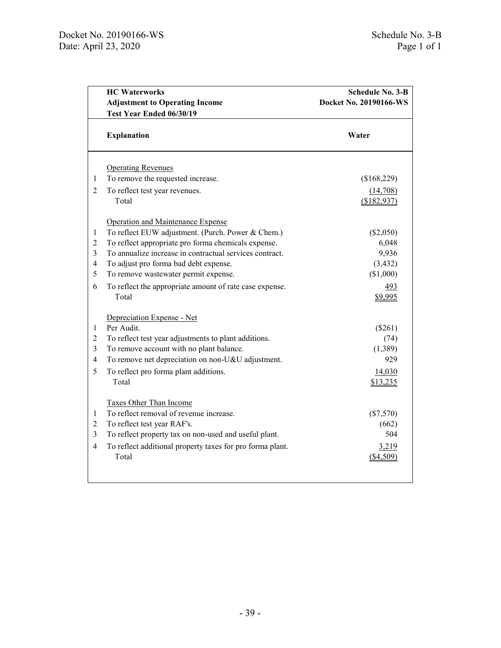<span id="page-40-0"></span>

|                         | <b>HC</b> Waterworks<br><b>Adjustment to Operating Income</b><br>Test Year Ended 06/30/19 | <b>Schedule No. 3-B</b><br>Docket No. 20190166-WS |  |  |
|-------------------------|-------------------------------------------------------------------------------------------|---------------------------------------------------|--|--|
|                         | <b>Explanation</b>                                                                        | Water                                             |  |  |
|                         |                                                                                           |                                                   |  |  |
| 1                       | <b>Operating Revenues</b><br>To remove the requested increase.                            | (\$168,229)                                       |  |  |
| $\overline{2}$          |                                                                                           |                                                   |  |  |
|                         | To reflect test year revenues.<br>Total                                                   | (14,708)<br>(\$182,937)                           |  |  |
|                         |                                                                                           |                                                   |  |  |
|                         | Operation and Maintenance Expense                                                         |                                                   |  |  |
| $\mathbf{1}$            | To reflect EUW adjustment. (Purch. Power & Chem.)                                         | (\$2,050)                                         |  |  |
| $\overline{2}$          | To reflect appropriate pro forma chemicals expense.                                       | 6,048                                             |  |  |
| $\mathfrak{Z}$          | To annualize increase in contractual services contract.                                   | 9,936                                             |  |  |
| $\overline{\mathbf{4}}$ | To adjust pro forma bad debt expense.                                                     | (3, 432)                                          |  |  |
| 5                       | To remove wastewater permit expense.                                                      | (\$1,000)                                         |  |  |
| 6                       | To reflect the appropriate amount of rate case expense.                                   | 493                                               |  |  |
|                         | Total                                                                                     | \$9,995                                           |  |  |
|                         | Depreciation Expense - Net                                                                |                                                   |  |  |
| $\mathbf{1}$            | Per Audit.                                                                                | $(\$261)$                                         |  |  |
| $\overline{2}$          | To reflect test year adjustments to plant additions.                                      | (74)                                              |  |  |
| $\mathfrak{Z}$          | To remove account with no plant balance.                                                  | (1,389)                                           |  |  |
| $\overline{4}$          | To remove net depreciation on non-U&U adjustment.                                         | 929                                               |  |  |
| 5                       | To reflect pro forma plant additions.                                                     | 14,030                                            |  |  |
|                         | Total                                                                                     | \$13,235                                          |  |  |
|                         | Taxes Other Than Income                                                                   |                                                   |  |  |
| $\mathbf{1}$            | To reflect removal of revenue increase.                                                   | $(\$7,570)$                                       |  |  |
| $\overline{c}$          | To reflect test year RAF's.                                                               | (662)                                             |  |  |
| $\overline{3}$          | To reflect property tax on non-used and useful plant.                                     | 504                                               |  |  |
| $\overline{4}$          | To reflect additional property taxes for pro forma plant.                                 | 3,219                                             |  |  |
|                         | Total                                                                                     | ( \$4,509)                                        |  |  |
|                         |                                                                                           |                                                   |  |  |